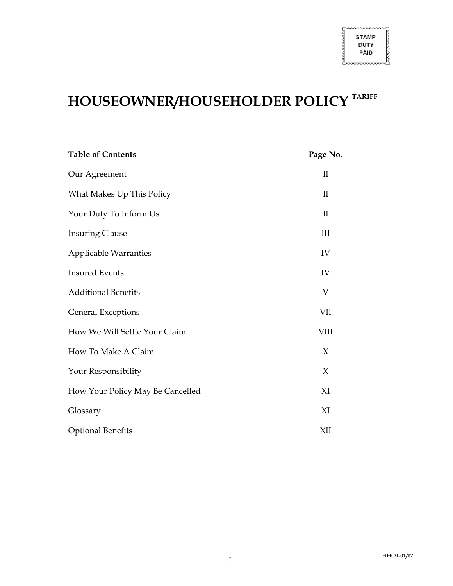יטיטיטינטיטיטיט

# HOUSEOWNER/HOUSEHOLDER POLICY TARIFF

| <b>Table of Contents</b>         | Page No.           |
|----------------------------------|--------------------|
| Our Agreement                    | $\rm II$           |
| What Makes Up This Policy        | $\rm II$           |
| Your Duty To Inform Us           | $\rm II$           |
| <b>Insuring Clause</b>           | $\mathop{\rm III}$ |
| <b>Applicable Warranties</b>     | IV                 |
| <b>Insured Events</b>            | IV                 |
| <b>Additional Benefits</b>       | V                  |
| <b>General Exceptions</b>        | VII                |
| How We Will Settle Your Claim    | <b>VIII</b>        |
| How To Make A Claim              | $\chi$             |
| Your Responsibility              | $\chi$             |
| How Your Policy May Be Cancelled | XI                 |
| Glossary                         | XI                 |
| <b>Optional Benefits</b>         | XII                |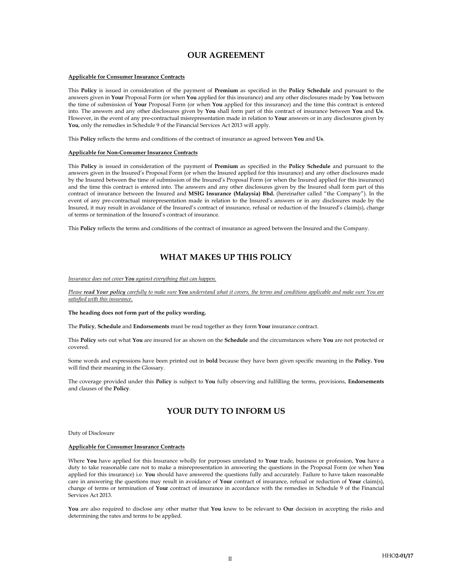## OUR AGREEMENT

### Applicable for Consumer Insurance Contracts

This Policy is issued in consideration of the payment of Premium as specified in the Policy Schedule and pursuant to the answers given in Your Proposal Form (or when You applied for this insurance) and any other disclosures made by You between the time of submission of Your Proposal Form (or when You applied for this insurance) and the time this contract is entered into. The answers and any other disclosures given by You shall form part of this contract of insurance between You and Us. However, in the event of any pre-contractual misrepresentation made in relation to Your answers or in any disclosures given by You, only the remedies in Schedule 9 of the Financial Services Act 2013 will apply.

This Policy reflects the terms and conditions of the contract of insurance as agreed between You and Us.

#### Applicable for Non-Consumer Insurance Contracts

This Policy is issued in consideration of the payment of Premium as specified in the Policy Schedule and pursuant to the answers given in the Insured's Proposal Form (or when the Insured applied for this insurance) and any other disclosures made by the Insured between the time of submission of the Insured's Proposal Form (or when the Insured applied for this insurance) and the time this contract is entered into. The answers and any other disclosures given by the Insured shall form part of this contract of insurance between the Insured and MSIG Insurance (Malaysia) Bhd. (hereinafter called "the Company"). In the event of any pre-contractual misrepresentation made in relation to the Insured's answers or in any disclosures made by the Insured, it may result in avoidance of the Insured's contract of insurance, refusal or reduction of the Insured's claim(s), change of terms or termination of the Insured's contract of insurance.

This Policy reflects the terms and conditions of the contract of insurance as agreed between the Insured and the Company.

## WHAT MAKES UP THIS POLICY

#### Insurance does not cover You against everything that can happen.

Please read Your policy carefully to make sure You understand what it covers, the terms and conditions applicable and make sure You are satisfied with this insurance.

#### The heading does not form part of the policy wording.

The Policy, Schedule and Endorsements must be read together as they form Your insurance contract.

This Policy sets out what You are insured for as shown on the Schedule and the circumstances where You are not protected or covered.

Some words and expressions have been printed out in bold because they have been given specific meaning in the Policy. You will find their meaning in the Glossary.

The coverage provided under this Policy is subject to You fully observing and fulfilling the terms, provisions, Endorsements and clauses of the Policy.

## YOUR DUTY TO INFORM US

Duty of Disclosure

#### Applicable for Consumer Insurance Contracts

Where You have applied for this Insurance wholly for purposes unrelated to Your trade, business or profession, You have a duty to take reasonable care not to make a misrepresentation in answering the questions in the Proposal Form (or when You applied for this insurance) i.e. You should have answered the questions fully and accurately. Failure to have taken reasonable care in answering the questions may result in avoidance of Your contract of insurance, refusal or reduction of Your claim(s), change of terms or termination of Your contract of insurance in accordance with the remedies in Schedule 9 of the Financial Services Act 2013.

You are also required to disclose any other matter that You knew to be relevant to Our decision in accepting the risks and determining the rates and terms to be applied.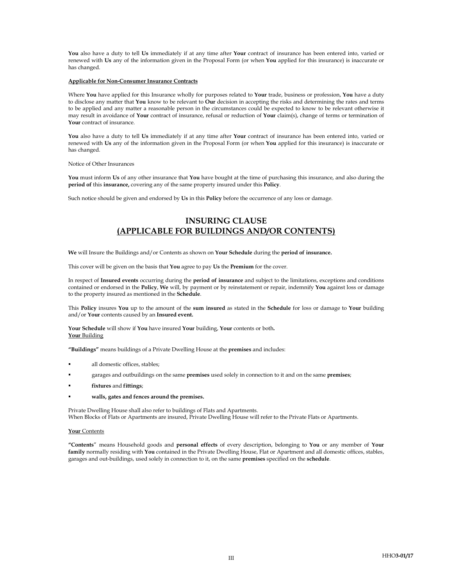You also have a duty to tell Us immediately if at any time after Your contract of insurance has been entered into, varied or renewed with Us any of the information given in the Proposal Form (or when You applied for this insurance) is inaccurate or has changed.

### Applicable for Non-Consumer Insurance Contracts

Where You have applied for this Insurance wholly for purposes related to Your trade, business or profession, You have a duty to disclose any matter that You know to be relevant to Our decision in accepting the risks and determining the rates and terms to be applied and any matter a reasonable person in the circumstances could be expected to know to be relevant otherwise it may result in avoidance of Your contract of insurance, refusal or reduction of Your claim(s), change of terms or termination of Your contract of insurance.

You also have a duty to tell Us immediately if at any time after Your contract of insurance has been entered into, varied or renewed with Us any of the information given in the Proposal Form (or when You applied for this insurance) is inaccurate or has changed.

Notice of Other Insurances

You must inform Us of any other insurance that You have bought at the time of purchasing this insurance, and also during the period of this insurance, covering any of the same property insured under this Policy.

Such notice should be given and endorsed by Us in this Policy before the occurrence of any loss or damage.

## INSURING CLAUSE (APPLICABLE FOR BUILDINGS AND/OR CONTENTS)

We will Insure the Buildings and/or Contents as shown on Your Schedule during the period of insurance.

This cover will be given on the basis that You agree to pay Us the Premium for the cover.

In respect of Insured events occurring during the period of insurance and subject to the limitations, exceptions and conditions contained or endorsed in the Policy, We will, by payment or by reinstatement or repair, indemnify You against loss or damage to the property insured as mentioned in the Schedule.

This Policy insures You up to the amount of the sum insured as stated in the Schedule for loss or damage to Your building and/or Your contents caused by an Insured event.

Your Schedule will show if You have insured Your building, Your contents or both. Your Building

"Buildings" means buildings of a Private Dwelling House at the premises and includes:

- all domestic offices, stables;
- garages and outbuildings on the same premises used solely in connection to it and on the same premises;
- fixtures and fittings;
- walls, gates and fences around the premises.

Private Dwelling House shall also refer to buildings of Flats and Apartments. When Blocks of Flats or Apartments are insured, Private Dwelling House will refer to the Private Flats or Apartments.

#### Your Contents

"Contents" means Household goods and personal effects of every description, belonging to You or any member of Your family normally residing with You contained in the Private Dwelling House, Flat or Apartment and all domestic offices, stables, garages and out-buildings, used solely in connection to it, on the same premises specified on the schedule.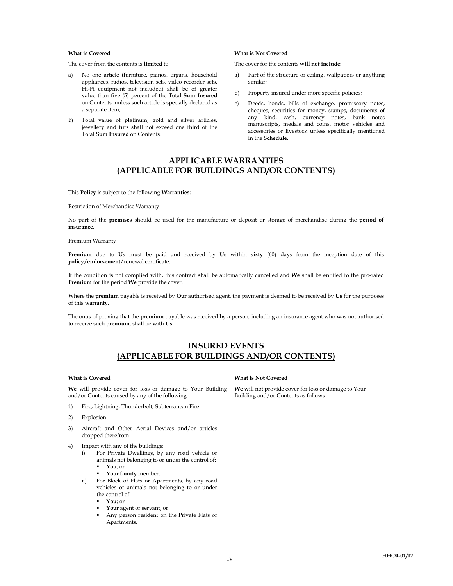- a) No one article (furniture, pianos, organs, household appliances, radios, television sets, video recorder sets, Hi-Fi equipment not included) shall be of greater value than five (5) percent of the Total Sum Insured on Contents, unless such article is specially declared as a separate item;
- b) Total value of platinum, gold and silver articles, jewellery and furs shall not exceed one third of the Total Sum Insured on Contents.

### What is Covered What is Not Covered

The cover from the contents is limited to: The cover for the contents will not include:

- a) Part of the structure or ceiling, wallpapers or anything similar;
- b) Property insured under more specific policies;
- c) Deeds, bonds, bills of exchange, promissory notes, cheques, securities for money, stamps, documents of any kind, cash, currency notes, bank notes manuscripts, medals and coins, motor vehicles and accessories or livestock unless specifically mentioned in the Schedule.

## APPLICABLE WARRANTIES (APPLICABLE FOR BUILDINGS AND/OR CONTENTS)

This Policy is subject to the following Warranties:

Restriction of Merchandise Warranty

No part of the premises should be used for the manufacture or deposit or storage of merchandise during the period of insurance.

#### Premium Warranty

Premium due to Us must be paid and received by Us within sixty (60) days from the inception date of this policy/endorsement/renewal certificate.

If the condition is not complied with, this contract shall be automatically cancelled and We shall be entitled to the pro-rated Premium for the period We provide the cover.

Where the **premium** payable is received by Our authorised agent, the payment is deemed to be received by Us for the purposes of this warranty.

The onus of proving that the **premium** payable was received by a person, including an insurance agent who was not authorised to receive such premium, shall lie with Us.

## INSURED EVENTS (APPLICABLE FOR BUILDINGS AND/OR CONTENTS)

We will provide cover for loss or damage to Your Building and/or Contents caused by any of the following :

- 1) Fire, Lightning, Thunderbolt, Subterranean Fire
- 2) Explosion
- 3) Aircraft and Other Aerial Devices and/or articles dropped therefrom
- 4) Impact with any of the buildings:
	- i) For Private Dwellings, by any road vehicle or animals not belonging to or under the control of: You; or
		- Your family member.
	- ii) For Block of Flats or Apartments, by any road vehicles or animals not belonging to or under the control of:
		- You; or
		- Your agent or servant; or
		- Any person resident on the Private Flats or Apartments.

#### What is Covered What is Not Covered

We will not provide cover for loss or damage to Your Building and/or Contents as follows :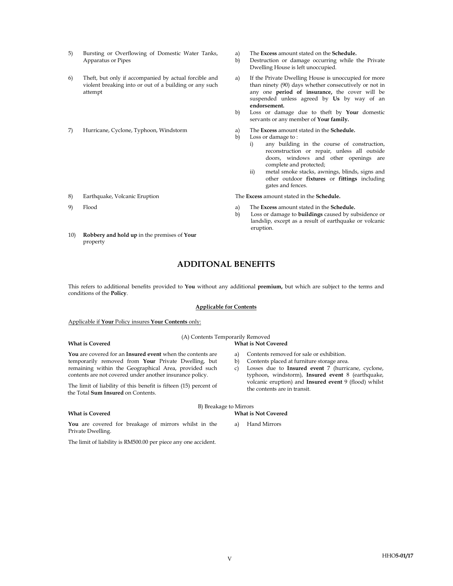- 5) Bursting or Overflowing of Domestic Water Tanks, Apparatus or Pipes
- 6) Theft, but only if accompanied by actual forcible and violent breaking into or out of a building or any such attempt
- 7) Hurricane, Cyclone, Typhoon, Windstorm a) The Excess amount stated in the Schedule.
- 8) Earthquake, Volcanic Eruption The Excess amount stated in the Schedule.
- 
- 10) Robbery and hold up in the premises of Your property
- a) The Excess amount stated on the Schedule.
- b) Destruction or damage occurring while the Private Dwelling House is left unoccupied.
- a) If the Private Dwelling House is unoccupied for more than ninety (90) days whether consecutively or not in any one period of insurance, the cover will be suspended unless agreed by Us by way of an endorsement.
- b) Loss or damage due to theft by Your domestic servants or any member of Your family.
- 
- b) Loss or damage to :
	- i) any building in the course of construction, reconstruction or repair, unless all outside doors, windows and other openings are complete and protected;
	- ii) metal smoke stacks, awnings, blinds, signs and other outdoor fixtures or fittings including gates and fences.

a) Contents removed for sale or exhibition. b) Contents placed at furniture storage area.

c) Losses due to Insured event 7 (hurricane, cyclone, typhoon, windstorm), Insured event 8 (earthquake,

- 9) Flood a) The Excess amount stated in the Schedule.
	- b) Loss or damage to buildings caused by subsidence or landslip, except as a result of earthquake or volcanic eruption.

## ADDITONAL BENEFITS

This refers to additional benefits provided to You without any additional premium, but which are subject to the terms and conditions of the Policy.

#### Applicable for Contents

### Applicable if Your Policy insures Your Contents only:

## (A) Contents Temporarily Removed

### What is Covered What is Not Covered

You are covered for an Insured event when the contents are temporarily removed from Your Private Dwelling, but remaining within the Geographical Area, provided such contents are not covered under another insurance policy.

The limit of liability of this benefit is fifteen (15) percent of the Total Sum Insured on Contents.

volcanic eruption) and **Insured event** 9 (flood) whilst the contents are in transit.

B) Breakage to Mirrors What is Covered **What is Not Covered What is Not Covered** 

You are covered for breakage of mirrors whilst in the Private Dwelling.

a) Hand Mirrors

The limit of liability is RM500.00 per piece any one accident.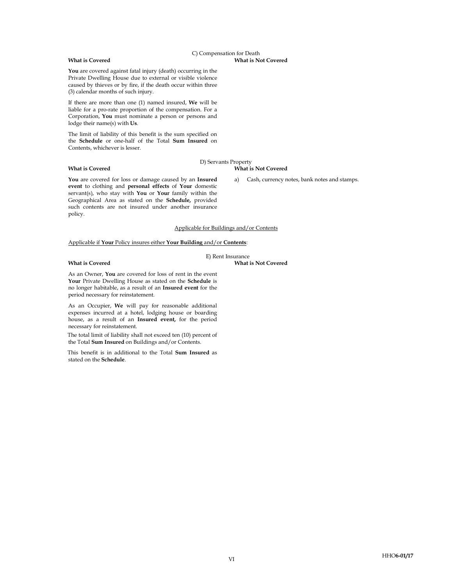C) Compensation for Death What is Covered **What is Not Covered What is Not Covered** 

You are covered against fatal injury (death) occurring in the Private Dwelling House due to external or visible violence caused by thieves or by fire, if the death occur within three (3) calendar months of such injury.

If there are more than one (1) named insured, We will be liable for a pro-rate proportion of the compensation. For a Corporation, You must nominate a person or persons and lodge their name(s) with Us.

The limit of liability of this benefit is the sum specified on the Schedule or one-half of the Total Sum Insured on Contents, whichever is lesser.

#### What is Covered What is Not Covered

## D) Servants Property

You are covered for loss or damage caused by an Insured event to clothing and personal effects of Your domestic servant(s), who stay with You or Your family within the Geographical Area as stated on the Schedule, provided such contents are not insured under another insurance policy.

a) Cash, currency notes, bank notes and stamps.

### Applicable for Buildings and/or Contents

E) Rent Insurance

Applicable if Your Policy insures either Your Building and/or Contents:

#### What is Covered What is Not Covered

period necessary for reinstatement.

As an Owner, You are covered for loss of rent in the event Your Private Dwelling House as stated on the Schedule is no longer habitable, as a result of an Insured event for the

As an Occupier, We will pay for reasonable additional expenses incurred at a hotel, lodging house or boarding house, as a result of an Insured event, for the period necessary for reinstatement.

The total limit of liability shall not exceed ten (10) percent of the Total Sum Insured on Buildings and/or Contents.

This benefit is in additional to the Total Sum Insured as stated on the Schedule.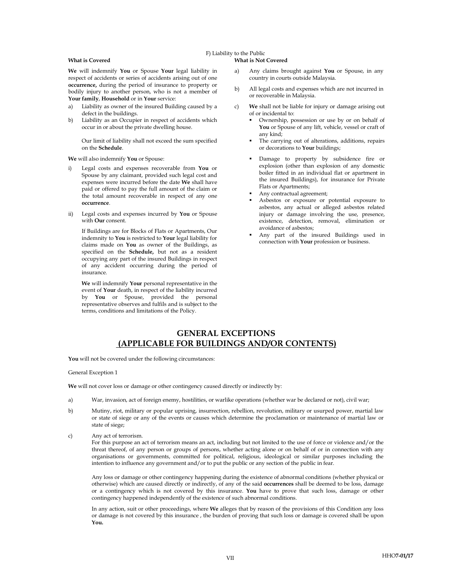## F) Liability to the Public

### What is Covered **What is Not Covered What is Not Covered**

We will indemnify You or Spouse Your legal liability in respect of accidents or series of accidents arising out of one occurrence, during the period of insurance to property or bodily injury to another person, who is not a member of Your family, Household or in Your service:

- a) Liability as owner of the insured Building caused by a defect in the buildings.
- b) Liability as an Occupier in respect of accidents which occur in or about the private dwelling house.

Our limit of liability shall not exceed the sum specified on the Schedule.

- i) Legal costs and expenses recoverable from You or Spouse by any claimant, provided such legal cost and expenses were incurred before the date We shall have paid or offered to pay the full amount of the claim or the total amount recoverable in respect of any one occurrence.
- ii) Legal costs and expenses incurred by You or Spouse with Our consent.

If Buildings are for Blocks of Flats or Apartments, Our indemnity to You is restricted to Your legal liability for claims made on You as owner of the Buildings, as specified on the Schedule, but not as a resident occupying any part of the insured Buildings in respect of any accident occurring during the period of insurance.

We will indemnify Your personal representative in the event of Your death, in respect of the liability incurred by You or Spouse, provided the personal representative observes and fulfils and is subject to the terms, conditions and limitations of the Policy.

- a) Any claims brought against You or Spouse, in any country in courts outside Malaysia.
- b) All legal costs and expenses which are not incurred in or recoverable in Malaysia.
- c) We shall not be liable for injury or damage arising out of or incidental to:
	- Ownership, possession or use by or on behalf of You or Spouse of any lift, vehicle, vessel or craft of any kind;
	- The carrying out of alterations, additions, repairs or decorations to Your buildings;
- We will also indemnify You or Spouse: **Damage to property by subsidence** fire or explosion (other than explosion of any domestic boiler fitted in an individual flat or apartment in the insured Buildings), for insurance for Private Flats or Apartments;
	- Any contractual agreement;
	- Asbestos or exposure or potential exposure to asbestos, any actual or alleged asbestos related injury or damage involving the use, presence, existence, detection, removal, elimination or avoidance of asbestos;
	- Any part of the insured Buildings used in connection with Your profession or business.

## GENERAL EXCEPTIONS (APPLICABLE FOR BUILDINGS AND/OR CONTENTS)

You will not be covered under the following circumstances:

General Exception 1

We will not cover loss or damage or other contingency caused directly or indirectly by:

- a) War, invasion, act of foreign enemy, hostilities, or warlike operations (whether war be declared or not), civil war;
- b) Mutiny, riot, military or popular uprising, insurrection, rebellion, revolution, military or usurped power, martial law or state of siege or any of the events or causes which determine the proclamation or maintenance of martial law or state of siege;
- c) Any act of terrorism.

 For this purpose an act of terrorism means an act, including but not limited to the use of force or violence and/or the threat thereof, of any person or groups of persons, whether acting alone or on behalf of or in connection with any organisations or governments, committed for political, religious, ideological or similar purposes including the intention to influence any government and/or to put the public or any section of the public in fear.

 Any loss or damage or other contingency happening during the existence of abnormal conditions (whether physical or otherwise) which are caused directly or indirectly, of any of the said occurrences shall be deemed to be loss, damage or a contingency which is not covered by this insurance. You have to prove that such loss, damage or other contingency happened independently of the existence of such abnormal conditions.

In any action, suit or other proceedings, where We alleges that by reason of the provisions of this Condition any loss or damage is not covered by this insurance , the burden of proving that such loss or damage is covered shall be upon You.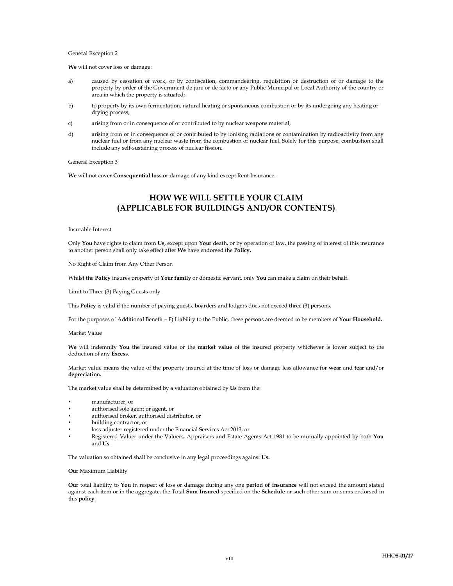#### General Exception 2

We will not cover loss or damage:

- a) caused by cessation of work, or by confiscation, commandeering, requisition or destruction of or damage to the property by order of the Government de jure or de facto or any Public Municipal or Local Authority of the country or area in which the property is situated;
- b) to property by its own fermentation, natural heating or spontaneous combustion or by its undergoing any heating or drying process;
- c) arising from or in consequence of or contributed to by nuclear weapons material;
- d) arising from or in consequence of or contributed to by ionising radiations or contamination by radioactivity from any nuclear fuel or from any nuclear waste from the combustion of nuclear fuel. Solely for this purpose, combustion shall include any self-sustaining process of nuclear fission.

General Exception 3

We will not cover Consequential loss or damage of any kind except Rent Insurance.

## HOW WE WILL SETTLE YOUR CLAIM (APPLICABLE FOR BUILDINGS AND/OR CONTENTS)

Insurable Interest

Only You have rights to claim from Us, except upon Your death, or by operation of law, the passing of interest of this insurance to another person shall only take effect after We have endorsed the Policy.

No Right of Claim from Any Other Person

Whilst the Policy insures property of Your family or domestic servant, only You can make a claim on their behalf.

Limit to Three (3) Paying Guests only

This Policy is valid if the number of paying guests, boarders and lodgers does not exceed three (3) persons.

For the purposes of Additional Benefit – F) Liability to the Public, these persons are deemed to be members of Your Household.

Market Value

We will indemnify You the insured value or the market value of the insured property whichever is lower subject to the deduction of any Excess.

Market value means the value of the property insured at the time of loss or damage less allowance for wear and tear and/or depreciation.

The market value shall be determined by a valuation obtained by Us from the:

- manufacturer, or
- authorised sole agent or agent, or
- authorised broker, authorised distributor, or
- building contractor, or
- loss adjuster registered under the Financial Services Act 2013, or
- Registered Valuer under the Valuers, Appraisers and Estate Agents Act 1981 to be mutually appointed by both You and Us.

The valuation so obtained shall be conclusive in any legal proceedings against Us.

Our Maximum Liability

Our total liability to You in respect of loss or damage during any one period of insurance will not exceed the amount stated against each item or in the aggregate, the Total Sum Insured specified on the Schedule or such other sum or sums endorsed in this policy.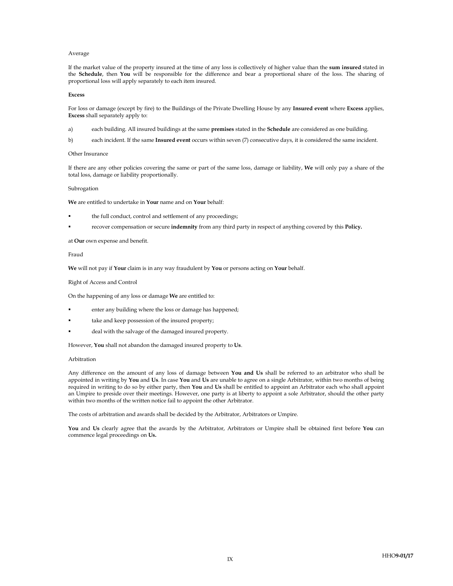#### Average

If the market value of the property insured at the time of any loss is collectively of higher value than the sum insured stated in the Schedule, then You will be responsible for the difference and bear a proportional share of the loss. The sharing of proportional loss will apply separately to each item insured.

#### Excess

For loss or damage (except by fire) to the Buildings of the Private Dwelling House by any Insured event where Excess applies, Excess shall separately apply to:

a) each building. All insured buildings at the same **premises** stated in the **Schedule** are considered as one building.

b) each incident. If the same Insured event occurs within seven (7) consecutive days, it is considered the same incident.

#### Other Insurance

If there are any other policies covering the same or part of the same loss, damage or liability, We will only pay a share of the total loss, damage or liability proportionally.

#### Subrogation

We are entitled to undertake in Your name and on Your behalf:

- the full conduct, control and settlement of any proceedings;
- recover compensation or secure indemnity from any third party in respect of anything covered by this Policy.

at Our own expense and benefit.

#### Fraud

We will not pay if Your claim is in any way fraudulent by You or persons acting on Your behalf.

Right of Access and Control

On the happening of any loss or damage We are entitled to:

- enter any building where the loss or damage has happened;
- take and keep possession of the insured property;
- deal with the salvage of the damaged insured property.

However, You shall not abandon the damaged insured property to Us.

#### Arbitration

Any difference on the amount of any loss of damage between You and Us shall be referred to an arbitrator who shall be appointed in writing by You and Us. In case You and Us are unable to agree on a single Arbitrator, within two months of being required in writing to do so by either party, then You and Us shall be entitled to appoint an Arbitrator each who shall appoint an Umpire to preside over their meetings. However, one party is at liberty to appoint a sole Arbitrator, should the other party within two months of the written notice fail to appoint the other Arbitrator.

The costs of arbitration and awards shall be decided by the Arbitrator, Arbitrators or Umpire.

You and Us clearly agree that the awards by the Arbitrator, Arbitrators or Umpire shall be obtained first before You can commence legal proceedings on Us.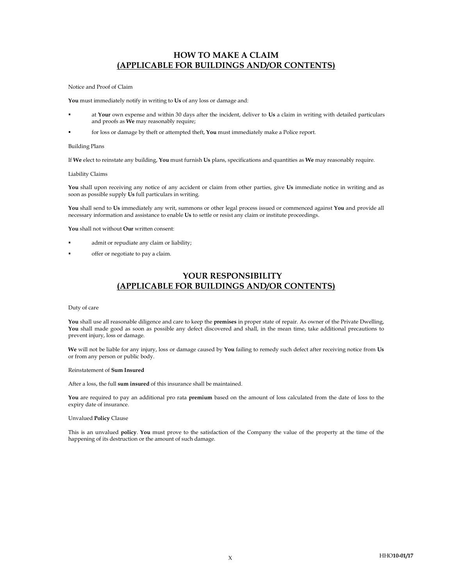## HOW TO MAKE A CLAIM (APPLICABLE FOR BUILDINGS AND/OR CONTENTS)

Notice and Proof of Claim

You must immediately notify in writing to Us of any loss or damage and:

- at Your own expense and within 30 days after the incident, deliver to Us a claim in writing with detailed particulars and proofs as We may reasonably require;
- for loss or damage by theft or attempted theft, You must immediately make a Police report.

### Building Plans

If We elect to reinstate any building, You must furnish Us plans, specifications and quantities as We may reasonably require.

#### Liability Claims

You shall upon receiving any notice of any accident or claim from other parties, give Us immediate notice in writing and as soon as possible supply Us full particulars in writing.

You shall send to Us immediately any writ, summons or other legal process issued or commenced against You and provide all necessary information and assistance to enable Us to settle or resist any claim or institute proceedings.

You shall not without Our written consent:

- admit or repudiate any claim or liability;
- offer or negotiate to pay a claim.

## YOUR RESPONSIBILITY (APPLICABLE FOR BUILDINGS AND/OR CONTENTS)

#### Duty of care

You shall use all reasonable diligence and care to keep the premises in proper state of repair. As owner of the Private Dwelling, You shall made good as soon as possible any defect discovered and shall, in the mean time, take additional precautions to prevent injury, loss or damage.

We will not be liable for any injury, loss or damage caused by You failing to remedy such defect after receiving notice from Us or from any person or public body.

#### Reinstatement of Sum Insured

After a loss, the full sum insured of this insurance shall be maintained.

You are required to pay an additional pro rata premium based on the amount of loss calculated from the date of loss to the expiry date of insurance.

#### Unvalued Policy Clause

This is an unvalued policy. You must prove to the satisfaction of the Company the value of the property at the time of the happening of its destruction or the amount of such damage.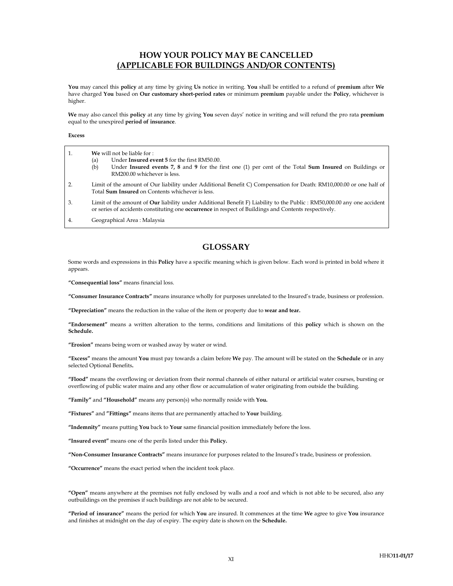## HOW YOUR POLICY MAY BE CANCELLED (APPLICABLE FOR BUILDINGS AND/OR CONTENTS)

You may cancel this policy at any time by giving Us notice in writing. You shall be entitled to a refund of premium after We have charged You based on Our customary short-period rates or minimum premium payable under the Policy, whichever is higher.

We may also cancel this policy at any time by giving You seven days' notice in writing and will refund the pro rata premium equal to the unexpired period of insurance.

#### Excess

| 1. | <b>We</b> will not be liable for :<br>Under Insured event 5 for the first RM50.00.<br>(a)<br>Under Insured events 7, 8 and 9 for the first one (1) per cent of the Total Sum Insured on Buildings or<br>(b)<br>RM200.00 whichever is less.    |  |
|----|-----------------------------------------------------------------------------------------------------------------------------------------------------------------------------------------------------------------------------------------------|--|
| 2. | Limit of the amount of Our liability under Additional Benefit C) Compensation for Death: RM10,000.00 or one half of<br>Total <b>Sum Insured</b> on Contents whichever is less.                                                                |  |
| 3. | Limit of the amount of <b>Our</b> liability under Additional Benefit F) Liability to the Public: RM50,000.00 any one accident<br>or series of accidents constituting one <b>occurrence</b> in respect of Buildings and Contents respectively. |  |

4. Geographical Area : Malaysia

## **GLOSSARY**

Some words and expressions in this Policy have a specific meaning which is given below. Each word is printed in bold where it appears.

"Consequential loss" means financial loss.

"Consumer Insurance Contracts" means insurance wholly for purposes unrelated to the Insured's trade, business or profession.

"Depreciation" means the reduction in the value of the item or property due to wear and tear.

"Endorsement" means a written alteration to the terms, conditions and limitations of this policy which is shown on the Schedule.

"Erosion" means being worn or washed away by water or wind.

"Excess" means the amount You must pay towards a claim before We pay. The amount will be stated on the Schedule or in any selected Optional Benefits.

"Flood" means the overflowing or deviation from their normal channels of either natural or artificial water courses, bursting or overflowing of public water mains and any other flow or accumulation of water originating from outside the building.

"Family" and "Household" means any person(s) who normally reside with You.

"Fixtures" and "Fittings" means items that are permanently attached to Your building.

"Indemnity" means putting You back to Your same financial position immediately before the loss.

"Insured event" means one of the perils listed under this Policy.

"Non-Consumer Insurance Contracts" means insurance for purposes related to the Insured's trade, business or profession.

"Occurrence" means the exact period when the incident took place.

"Open" means anywhere at the premises not fully enclosed by walls and a roof and which is not able to be secured, also any outbuildings on the premises if such buildings are not able to be secured.

"Period of insurance" means the period for which You are insured. It commences at the time We agree to give You insurance and finishes at midnight on the day of expiry. The expiry date is shown on the Schedule.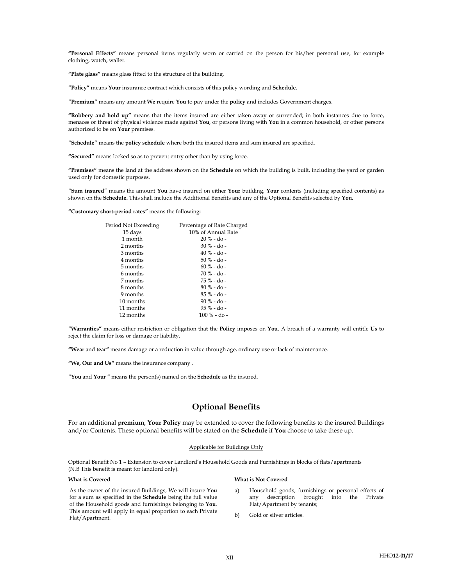"Personal Effects" means personal items regularly worn or carried on the person for his/her personal use, for example clothing, watch, wallet.

"Plate glass" means glass fitted to the structure of the building.

"Policy" means Your insurance contract which consists of this policy wording and Schedule.

"Premium" means any amount We require You to pay under the policy and includes Government charges.

"Robbery and hold up" means that the items insured are either taken away or surrended; in both instances due to force, menaces or threat of physical violence made against You, or persons living with You in a common household, or other persons authorized to be on Your premises.

"Schedule" means the policy schedule where both the insured items and sum insured are specified.

"Secured" means locked so as to prevent entry other than by using force.

"Premises" means the land at the address shown on the Schedule on which the building is built, including the yard or garden used only for domestic purposes.

"Sum insured" means the amount You have insured on either Your building, Your contents (including specified contents) as shown on the Schedule. This shall include the Additional Benefits and any of the Optional Benefits selected by You.

"Customary short-period rates" means the following:

| Period Not Exceeding | Percentage of Rate Charged |
|----------------------|----------------------------|
| 15 days              | 10% of Annual Rate         |
| 1 month              | $20 \%$ - do -             |
| 2 months             | $30\%$ - do -              |
| 3 months             | $40\%$ - do -              |
| 4 months             | $50\% - do -$              |
| 5 months             | $60\%$ - do -              |
| 6 months             | $70\%$ - do -              |
| 7 months             | 75 % - do -                |
| 8 months             | $80\%$ - do -              |
| 9 months             | $85\%$ - do -              |
| 10 months            | $90\% - do -$              |
| 11 months            | $95\%$ - do -              |
| 12 months            | $100\% - do -$             |

"Warranties" means either restriction or obligation that the Policy imposes on You. A breach of a warranty will entitle Us to reject the claim for loss or damage or liability.

"Wear and tear" means damage or a reduction in value through age, ordinary use or lack of maintenance.

"We, Our and Us" means the insurance company .

"You and Your " means the person(s) named on the Schedule as the insured.

## Optional Benefits

For an additional **premium, Your Policy** may be extended to cover the following benefits to the insured Buildings and/or Contents. These optional benefits will be stated on the Schedule if You choose to take these up.

#### Applicable for Buildings Only

Optional Benefit No 1 – Extension to cover Landlord's Household Goods and Furnishings in blocks of flats/apartments (N.B This benefit is meant for landlord only).

As the owner of the insured Buildings, We will insure You for a sum as specified in the Schedule being the full value of the Household goods and furnishings belonging to You. This amount will apply in equal proportion to each Private Flat/Apartment.

#### What is Covered What is Not Covered

- a) Household goods, furnishings or personal effects of any description brought into the Private Flat/Apartment by tenants;
- b) Gold or silver articles.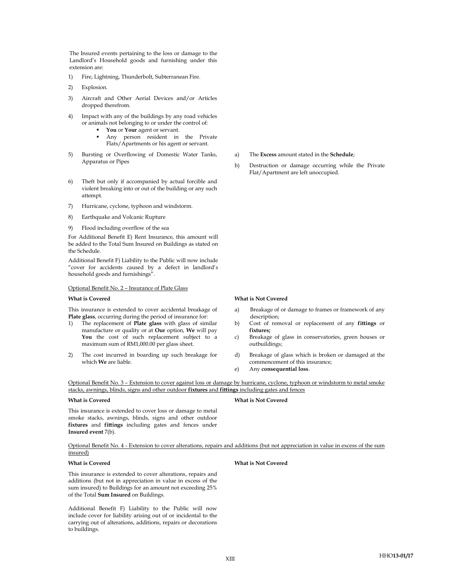The Insured events pertaining to the loss or damage to the Landlord's Household goods and furnishing under this extension are:

- 1) Fire, Lightning, Thunderbolt, Subterranean Fire.
- 2) Explosion.
- 3) Aircraft and Other Aerial Devices and/or Articles dropped therefrom.
- 4) Impact with any of the buildings by any road vehicles or animals not belonging to or under the control of:
	- You or Your agent or servant.
	- Any person resident in the Private Flats/Apartments or his agent or servant.
- 5) Bursting or Overflowing of Domestic Water Tanks, Apparatus or Pipes
- 6) Theft but only if accompanied by actual forcible and violent breaking into or out of the building or any such attempt.
- 7) Hurricane, cyclone, typhoon and windstorm.
- 8) Earthquake and Volcanic Rupture
- 9) Flood including overflow of the sea

For Additional Benefit E) Rent Insurance, this amount will be added to the Total Sum Insured on Buildings as stated on the Schedule.

Additional Benefit F) Liability to the Public will now include "cover for accidents caused by a defect in landlord's household goods and furnishings".

#### Optional Benefit No. 2 – Insurance of Plate Glass

This insurance is extended to cover accidental breakage of Plate glass, occurring during the period of insurance for:

- 1) The replacement of Plate glass with glass of similar manufacture or quality or at Our option, We will pay You the cost of such replacement subject to a maximum sum of RM1,000.00 per glass sheet.
- 2) The cost incurred in boarding up such breakage for which We are liable.
- a) The Excess amount stated in the Schedule;
- b) Destruction or damage occurring while the Private Flat/Apartment are left unoccupied.

### What is Covered What is Not Covered

- a) Breakage of or damage to frames or framework of any description;
- b) Cost of removal or replacement of any fittings or fixtures;
- c) Breakage of glass in conservatories, green houses or outbuildings;
- d) Breakage of glass which is broken or damaged at the commencement of this insurance;
- e) Any consequential loss.

Optional Benefit No. 3 – Extension to cover against loss or damage by hurricane, cyclone, typhoon or windstorm to metal smoke stacks, awnings, blinds, signs and other outdoor fixtures and fittings including gates and fences

### What is Covered What is Not Covered

This insurance is extended to cover loss or damage to metal smoke stacks, awnings, blinds, signs and other outdoor fixtures and fittings including gates and fences under Insured event 7(b).

Optional Benefit No. 4 - Extension to cover alterations, repairs and additions (but not appreciation in value in excess of the sum insured)

### What is Covered What is Not Covered

This insurance is extended to cover alterations, repairs and additions (but not in appreciation in value in excess of the sum insured) to Buildings for an amount not exceeding 25% of the Total Sum Insured on Buildings.

Additional Benefit F) Liability to the Public will now include cover for liability arising out of or incidental to the carrying out of alterations, additions, repairs or decorations to buildings.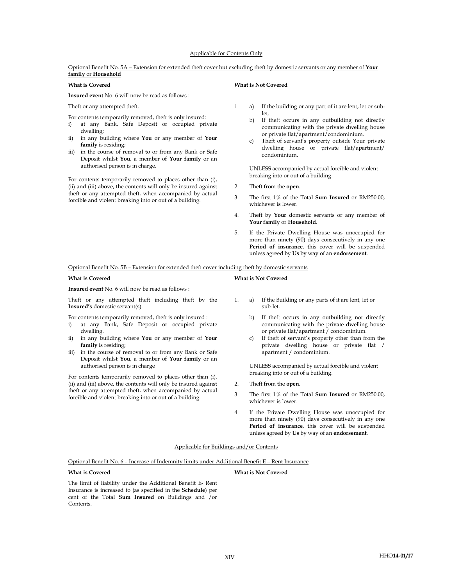### Applicable for Contents Only

#### Optional Benefit No. 5A – Extension for extended theft cover but excluding theft by domestic servants or any member of Your family or Household

Insured event No. 6 will now be read as follows :

For contents temporarily removed, theft is only insured:

- i) at any Bank, Safe Deposit or occupied private dwelling;
- ii) in any building where You or any member of Your family is residing;
- iii) in the course of removal to or from any Bank or Safe Deposit whilst You, a member of Your family or an authorised person is in charge.

For contents temporarily removed to places other than (i), (ii) and (iii) above, the contents will only be insured against theft or any attempted theft, when accompanied by actual forcible and violent breaking into or out of a building.

### What is Covered What is Not Covered

- Theft or any attempted theft. 1. a) If the building or any part of it are lent, let or sublet.
	- b) If theft occurs in any outbuilding not directly communicating with the private dwelling house or private flat/apartment/condominium.
	- c) Theft of servant's property outside Your private dwelling house or private flat/apartment/ condominium.

UNLESS accompanied by actual forcible and violent<br>breaking into or out of a building.

- 2. Theft from the open.
- 3. The first 1% of the Total Sum Insured or RM250.00, whichever is lower.
- 4. Theft by Your domestic servants or any member of Your family or Household.
- 5. If the Private Dwelling House was unoccupied for more than ninety (90) days consecutively in any one Period of insurance, this cover will be suspended unless agreed by Us by way of an endorsement.

Optional Benefit No. 5B – Extension for extended theft cover including theft by domestic servants

#### What is Covered What is Not Covered

#### Insured event No. 6 will now be read as follows :

Theft or any attempted theft including theft by the Insured's domestic servant(s).

For contents temporarily removed, theft is only insured :

- i) at any Bank, Safe Deposit or occupied private dwelling.
- ii) in any building where You or any member of Your family is residing;
- iii) in the course of removal to or from any Bank or Safe Deposit whilst You, a member of Your family or an authorised person is in charge

breaking into or out of a building. For contents temporarily removed to places other than (i), (ii) and (iii) above, the contents will only be insured against theft or any attempted theft, when accompanied by actual forcible and violent breaking into or out of a building.

- 
- 1. a) If the Building or any parts of it are lent, let or sub-let.
	- b) If theft occurs in any outbuilding not directly communicating with the private dwelling house or private flat/apartment / condominium.
	- c) If theft of servant's property other than from the private dwelling house or private flat / apartment / condominium.

UNLESS accompanied by actual forcible and violent

- 2. Theft from the open.
- 3. The first 1% of the Total Sum Insured or RM250.00, whichever is lower.
- 4. If the Private Dwelling House was unoccupied for more than ninety (90) days consecutively in any one Period of insurance, this cover will be suspended unless agreed by Us by way of an endorsement.

#### Applicable for Buildings and/or Contents

Optional Benefit No. 6 – Increase of Indemnity limits under Additional Benefit E – Rent Insurance

### What is Covered What is Not Covered

The limit of liability under the Additional Benefit E- Rent Insurance is increased to (as specified in the Schedule) per cent of the Total Sum Insured on Buildings and /or Contents.

HHO14-01/17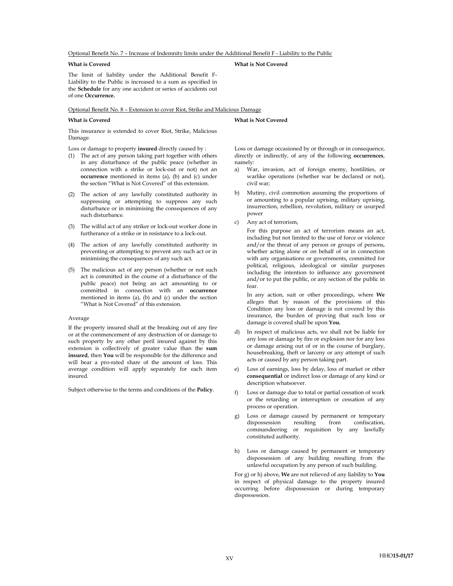Optional Benefit No. 7 – Increase of Indemnity limits under the Additional Benefit F - Liability to the Public

#### What is Covered What is Not Covered

The limit of liability under the Additional Benefit F-Liability to the Public is increased to a sum as specified in the Schedule for any one accident or series of accidents out of one Occurrence.

Optional Benefit No. 8 – Extension to cover Riot, Strike and Malicious Damage

### What is Covered What is Not Covered

This insurance is extended to cover Riot, Strike, Malicious Damage.

Loss or damage to property insured directly caused by :

- (1) The act of any person taking part together with others in any disturbance of the public peace (whether in connection with a strike or lock-out or not) not an occurrence mentioned in items (a), (b) and (c) under the section "What is Not Covered" of this extension.
- (2) The action of any lawfully constituted authority in suppressing or attempting to suppress any such disturbance or in minimising the consequences of any such disturbance.
- (3) The wilful act of any striker or lock-out worker done in furtherance of a strike or in resistance to a lock-out.
- (4) The action of any lawfully constituted authority in preventing or attempting to prevent any such act or in minimising the consequences of any such act.
- (5) The malicious act of any person (whether or not such act is committed in the course of a disturbance of the public peace) not being an act amounting to or committed in connection with an occurrence mentioned in items (a), (b) and (c) under the section "What is Not Covered" of this extension.

#### Average

If the property insured shall at the breaking out of any fire or at the commencement of any destruction of or damage to such property by any other peril insured against by this extension is collectively of greater value than the sum insured, then You will be responsible for the difference and will bear a pro-rated share of the amount of loss. This average condition will apply separately for each item insured.

Subject otherwise to the terms and conditions of the Policy.

Loss or damage occasioned by or through or in consequence, directly or indirectly, of any of the following occurrences, namely:

- War, invasion, act of foreign enemy, hostilities, or warlike operations (whether war be declared or not), civil war;
- b) Mutiny, civil commotion assuming the proportions of or amounting to a popular uprising, military uprising, insurrection, rebellion, revolution, military or usurped power
- c) Any act of terrorism,

For this purpose an act of terrorism means an act, including but not limited to the use of force or violence and/or the threat of any person or groups of persons, whether acting alone or on behalf of or in connection with any organisations or governments, committed for political, religious, ideological or similar purposes including the intention to influence any government and/or to put the public, or any section of the public in fear.

In any action, suit or other proceedings, where We alleges that by reason of the provisions of this Condition any loss or damage is not covered by this insurance, the burden of proving that such loss or damage is covered shall be upon You.

- d) In respect of malicious acts, we shall not be liable for any loss or damage by fire or explosion nor for any loss or damage arising out of or in the course of burglary, housebreaking, theft or larceny or any attempt of such acts or caused by any person taking part.
- e) Loss of earnings, loss by delay, loss of market or other consequential or indirect loss or damage of any kind or description whatsoever.
- Loss or damage due to total or partial cessation of work or the retarding or interruption or cessation of any process or operation.
- g) Loss or damage caused by permanent or temporary dispossession resulting from confiscation, dispossession resulting from confiscation, commandeering or requisition by any lawfully constituted authority.
- h) Loss or damage caused by permanent or temporary dispossession of any building resulting from the unlawful occupation by any person of such building.

For g) or h) above, We are not relieved of any liability to You in respect of physical damage to the property insured occurring before dispossession or during temporary dispossession.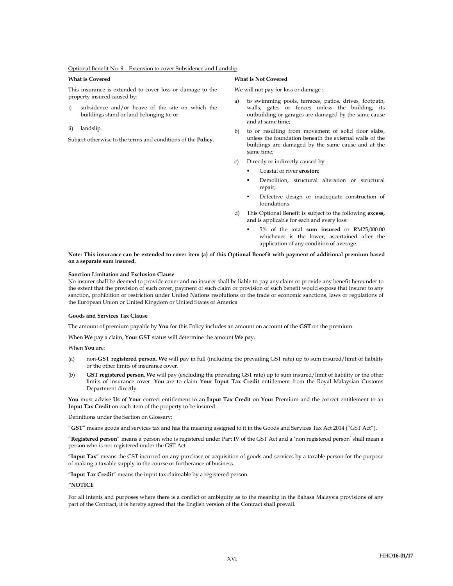#### Optional Benefit No. 9 – Extension to cover Subsidence and Landslip

This insurance is extended to cover loss or damage to the property insured caused by:

i) subsidence and/or heave of the site on which the buildings stand or land belonging to; or

#### ii) landslip.

Subject otherwise to the terms and conditions of the Policy.

#### What is Covered What is Not Covered

We will not pay for loss or damage :

- to swimming pools, terraces, patios, drives, footpath, walls, gates or fences unless the building, its outbuilding or garages are damaged by the same cause and at same time;
- b) to or resulting from movement of solid floor slabs, unless the foundation beneath the external walls of the buildings are damaged by the same cause and at the same time;
- c) Directly or indirectly caused by:
	- Coastal or river erosion;
	- Demolition, structural alteration or structural repair;
	- Defective design or inadequate construction of foundations.
- d) This Optional Benefit is subject to the following excess, and is applicable for each and every loss:
	- 5% of the total sum insured or RM25,000.00 whichever is the lower, ascertained after the application of any condition of average.

### Note: This insurance can be extended to cover item (a) of this Optional Benefit with payment of additional premium based on a separate sum insured.

#### Sanction Limitation and Exclusion Clause

No insurer shall be deemed to provide cover and no insurer shall be liable to pay any claim or provide any benefit hereunder to the extent that the provision of such cover, payment of such claim or provision of such benefit would expose that insurer to any sanction, prohibition or restriction under United Nations resolutions or the trade or economic sanctions, laws or regulations of the European Union or United Kingdom or United States of America

#### Goods and Services Tax Clause

The amount of premium payable by You for this Policy includes an amount on account of the GST on the premium.

When We pay a claim, Your GST status will determine the amount We pay.

When You are:

- (a) non-GST registered person, We will pay in full (including the prevailing GST rate) up to sum insured/limit of liability or the other limits of insurance cover.
- (b) GST registered person, We will pay (excluding the prevailing GST rate) up to sum insured/limit of liability or the other limits of insurance cover. You are to claim Your Input Tax Credit entitlement from the Royal Malaysian Customs Department directly.

You must advise Us of Your correct entitlement to an Input Tax Credit on Your Premium and the correct entitlement to an Input Tax Credit on each item of the property to be insured.

Definitions under the Section on Glossary:

"GST" means goods and services tax and has the meaning assigned to it in the Goods and Services Tax Act 2014 ("GST Act").

"Registered person" means a person who is registered under Part IV of the GST Act and a 'non registered person' shall mean a person who is not registered under the GST Act.

"Input Tax" means the GST incurred on any purchase or acquisition of goods and services by a taxable person for the purpose of making a taxable supply in the course or furtherance of business.

"Input Tax Credit" means the input tax claimable by a registered person.

#### "NOTICE

For all intents and purposes where there is a conflict or ambiguity as to the meaning in the Bahasa Malaysia provisions of any part of the Contract, it is hereby agreed that the English version of the Contract shall prevail.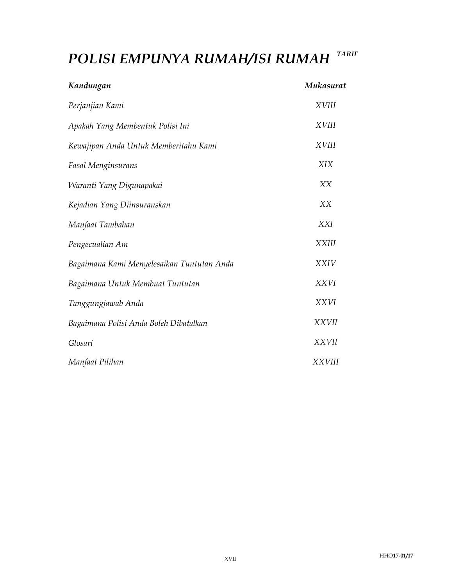# POLISI EMPUNYA RUMAH/ISI RUMAH TARIF

| Kandungan                                  | Mukasurat     |
|--------------------------------------------|---------------|
| Perjanjian Kami                            | <b>XVIII</b>  |
| Apakah Yang Membentuk Polisi Ini           | <b>XVIII</b>  |
| Kewajipan Anda Untuk Memberitahu Kami      | <b>XVIII</b>  |
| <b>Fasal Menginsurans</b>                  | <b>XIX</b>    |
| Waranti Yang Digunapakai                   | XX            |
| Kejadian Yang Diinsuranskan                | XX            |
| Manfaat Tambahan                           | <b>XXI</b>    |
| Pengecualian Am                            | <b>XXIII</b>  |
| Bagaimana Kami Menyelesaikan Tuntutan Anda | <b>XXIV</b>   |
| Bagaimana Untuk Membuat Tuntutan           | <b>XXVI</b>   |
| Tanggungjawab Anda                         | <b>XXVI</b>   |
| Bagaimana Polisi Anda Boleh Dibatalkan     | <b>XXVII</b>  |
| Glosari                                    | <b>XXVII</b>  |
| Manfaat Pilihan                            | <b>XXVIII</b> |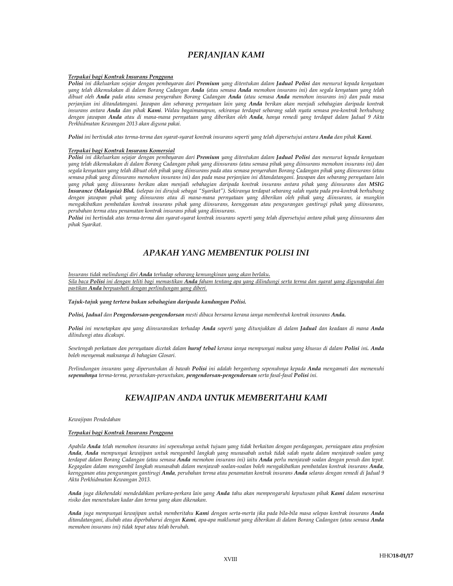## PERJANJIAN KAMI

### Terpakai bagi Kontrak Insurans Pengguna

Polisi ini dikeluarkan sejajar dengan pembayaran dari Premium yang ditentukan dalam Jadual Polisi dan menurut kepada kenyataan yang telah dikemukakan di dalam Borang Cadangan Anda (atau semasa Anda memohon insurans ini) dan segala kenyataan yang telah dibuat oleh Anda pada atau semasa penyerahan Borang Cadangan Anda (atau semasa Anda memohon insurans ini) dan pada masa perjanjian ini ditandatangani. Jawapan dan sebarang pernyataan lain yang Anda berikan akan menjadi sebahagian daripada kontrak insurans antara Anda dan pihak Kami. Walau bagaimanapun, sekiranya terdapat sebarang salah nyata semasa pra-kontrak berhubung dengan jawapan Anda atau di mana-mana pernyataan yang diberikan oleh Anda, hanya remedi yang terdapat dalam Jadual 9 Akta Perkhidmatan Kewangan 2013 akan diguna pakai.

Polisi ini bertindak atas terma-terma dan syarat-syarat kontrak insurans seperti yang telah dipersetujui antara Anda dan pihak Kami.

### Terpakai bagi Kontrak Insurans Komersial

Polisi ini dikeluarkan sejajar dengan pembayaran dari Premium yang ditentukan dalam Jadual Polisi dan menurut kepada kenyataan yang telah dikemukakan di dalam Borang Cadangan pihak yang diinsurans (atau semasa pihak yang diinsurans memohon insurans ini) dan segala kenyataan yang telah dibuat oleh pihak yang diinsurans pada atau semasa penyerahan Borang Cadangan pihak yang diinsurans (atau semasa pihak yang diinsurans memohon insurans ini) dan pada masa perjanjian ini ditandatangani. Jawapan dan sebarang pernyataan lain yang pihak yang diinsurans berikan akan menjadi sebahagian daripada kontrak insurans antara pihak yang diinsurans dan MSIG Insurance (Malaysia) Bhd. (selepas ini dirujuk sebagai "Syarikat"). Sekiranya terdapat sebarang salah nyata pada pra-kontrak berhubung dengan jawapan pihak yang diinsurans atau di mana-mana pernyataan yang diberikan oleh pihak yang diinsurans, ia mungkin mengakibatkan pembatalan kontrak insurans pihak yang diinsurans, keengganan atau pengurangan gantirugi pihak yang diinsurans, perubahan terma atau penamatan kontrak insurans pihak yang diinsurans.

Polisi ini bertindak atas terma-terma dan syarat-syarat kontrak insurans seperti yang telah dipersetujui antara pihak yang diinsurans dan pihak Syarikat.

## APAKAH YANG MEMBENTUK POLISI INI

Insurans tidak melindungi diri Anda terhadap sebarang kemungkinan yang akan berlaku.

Sila baca **Polisi** ini dengan teliti bagi memastikan Anda faham tentang apa yang dilindungi serta terma dan syarat yang digunapakai dan pastikan Anda berpuashati dengan perlindungan yang diberi.

Tajuk-tajuk yang tertera bukan sebahagian daripada kandungan Polisi.

Polisi, Jadual dan Pengendorsan-pengendorsan mesti dibaca bersama kerana ianya membentuk kontrak insurans Anda.

Polisi ini menetapkan apa yang diinsuranskan terhadap Anda seperti yang ditunjukkan di dalam Jadual dan keadaan di mana Anda dilindungi atau dicakupi.

Sesetengah perkataan dan pernyataan dicetak dalam huruf tebal kerana ianya mempunyai makna yang khusus di dalam Polisi ini. Anda boleh menyemak maknanya di bahagian Glosari.

Perlindungan insurans yang diperuntukan di bawah Polisi ini adalah bergantung sepenuhnya kepada Anda mengamati dan memenuhi sepenuhnya terma-terma, peruntukan-peruntukan, pengendorsan-pengendorsan serta fasal-fasal Polisi ini.

## KEWAJIPAN ANDA UNTUK MEMBERITAHU KAMI

Kewajipan Pendedahan

#### Terpakai bagi Kontrak Insurans Pengguna

Apabila Anda telah memohon insurans ini sepenuhnya untuk tujuan yang tidak berkaitan dengan perdagangan, perniagaan atau profesion Anda, Anda mempunyai kewajipan untuk mengambil langkah yang munasabah untuk tidak salah nyata dalam menjawab soalan yang terdapat dalam Borang Cadangan (atau semasa Anda memohon insurans ini) iaitu Anda perlu menjawab soalan dengan penuh dan tepat. Kegagalan dalam mengambil langkah munasabah dalam menjawab soalan-soalan boleh mengakibatkan pembatalan kontrak insurans Anda, keengganan atau pengurangan gantirugi Anda, perubahan terma atau penamatan kontrak insurans Anda selaras dengan remedi di Jadual 9 Akta Perkhidmatan Kewangan 2013.

Anda juga dikehendaki mendedahkan perkara-perkara lain yang Anda tahu akan mempengaruhi keputusan pihak Kami dalam menerima risiko dan menentukan kadar dan terma yang akan dikenakan.

Anda juga mempunyai kewajipan untuk memberitahu Kami dengan serta-merta jika pada bila-bila masa selepas kontrak insurans Anda ditandatangani, diubah atau diperbaharui dengan Kami, apa-apa maklumat yang diberikan di dalam Borang Cadangan (atau semasa Anda memohon insurans ini) tidak tepat atau telah berubah.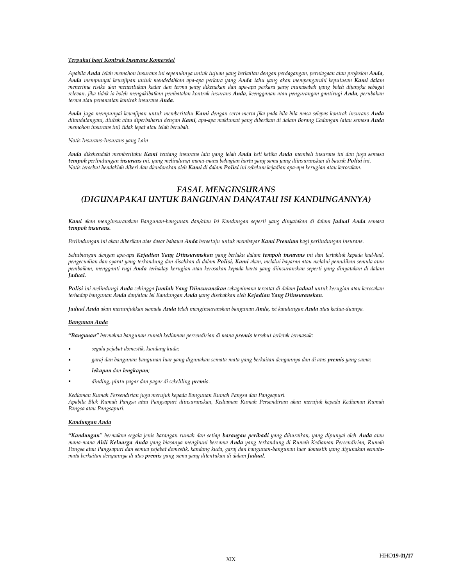#### Terpakai bagi Kontrak Insurans Komersial

Apabila Anda telah memohon insurans ini sepenuhnya untuk tujuan yang berkaitan dengan perdagangan, perniagaan atau profesion Anda, Anda mempunyai kewajipan untuk mendedahkan apa-apa perkara yang Anda tahu yang akan mempengaruhi keputusan Kami dalam menerima risiko dan menentukan kadar dan terma yang dikenakan dan apa-apa perkara yang munasabah yang boleh dijangka sebagai relevan, jika tidak ia boleh mengakibatkan pembatalan kontrak insurans Anda, keengganan atau pengurangan gantirugi Anda, perubahan terma atau penamatan kontrak insurans Anda.

Anda juga mempunyai kewajipan untuk memberitahu Kami dengan serta-merta jika pada bila-bila masa selepas kontrak insurans Anda ditandatangani, diubah atau diperbaharui dengan Kami, apa-apa maklumat yang diberikan di dalam Borang Cadangan (atau semasa Anda memohon insurans ini) tidak tepat atau telah berubah.

Notis Insurans-Insurans yang Lain

Anda dikehendaki memberitahu Kami tentang insurans lain yang telah Anda beli ketika Anda membeli insurans ini dan juga semasa tempoh perlindungan insurans ini, yang melindungi mana-mana bahagian harta yang sama yang diinsuranskan di bawah Polisi ini. Notis tersebut hendaklah diberi dan diendorskan oleh Kami di dalam Polisi ini sebelum kejadian apa-apa kerugian atau kerosakan.

## FASAL MENGINSURANS (DIGUNAPAKAI UNTUK BANGUNAN DAN/ATAU ISI KANDUNGANNYA)

Kami akan menginsuranskan Bangunan-bangunan dan/atau Isi Kandungan seperti yang dinyatakan di dalam Jadual Anda semasa tempoh insurans.

Perlindungan ini akan diberikan atas dasar bahawa Anda bersetuju untuk membayar Kami Premium bagi perlindungan insurans.

Sehubungan dengan apa-apa Kejadian Yang Diinsuranskan yang berlaku dalam tempoh insurans ini dan tertakluk kepada had-had, pengecualian dan syarat yang terkandung dan disahkan di dalam Polisi, Kami akan, melalui bayaran atau melalui pemulihan semula atau pembaikan, mengganti rugi Anda terhadap kerugian atau kerosakan kepada harta yang diinsuranskan seperti yang dinyatakan di dalam Jadual.

Polisi ini melindungi Anda sehingga Jumlah Yang Diinsuranskan sebagaimana tercatat di dalam Jadual untuk kerugian atau kerosakan terhadap bangunan Anda dan/atau Isi Kandungan Anda yang disebabkan oleh Kejadian Yang Diinsuranskan.

Jadual Anda akan menunjukkan samada Anda telah menginsuranskan bangunan Anda, isi kandungan Anda atau kedua-duanya.

#### Bangunan Anda

"Bangunan" bermakna bangunan rumah kediaman persendirian di mana premis tersebut terletak termasuk:

- segala pejabat domestik, kandang kuda;
- garaj dan bangunan-bangunan luar yang digunakan semata-mata yang berkaitan dengannya dan di atas premis yang sama;
- lekapan dan lengkapan;
- dinding, pintu pagar dan pagar di sekeliling premis.

Kediaman Rumah Persendirian juga merujuk kepada Bangunan Rumah Pangsa dan Pangsapuri. Apabila Blok Rumah Pangsa atau Pangsapuri diinsuranskan, Kediaman Rumah Persendirian akan merujuk kepada Kediaman Rumah Pangsa atau Pangsapuri.

#### Kandungan Anda

"Kandungan" bermakna segala jenis barangan rumah dan setiap barangan peribadi yang dihuraikan, yang dipunyai oleh Anda atau mana-mana Ahli Keluarga Anda yang biasanya menghuni bersama Anda yang terkandung di Rumah Kediaman Persendirian, Rumah Pangsa atau Pangsapuri dan semua pejabat domestik, kandang kuda, garaj dan bangunan-bangunan luar domestik yang digunakan sematamata berkaitan dengannya di atas premis yang sama yang ditentukan di dalam Jadual.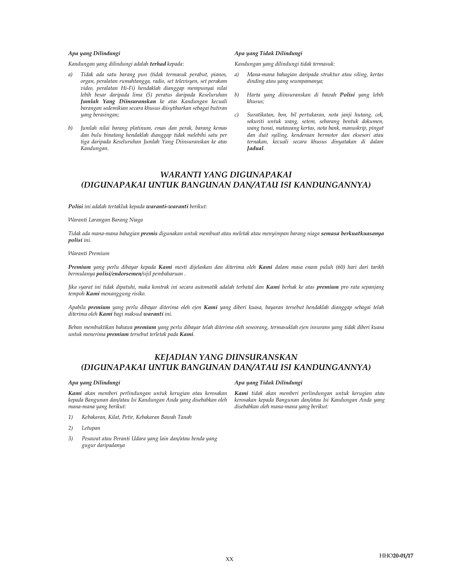Kandungan yang dilindungi adalah terhad kepada: Kandungan yang dilindungi tidak termasuk:

- a) Tidak ada satu barang pun (tidak termasuk perabut, pianos, organ, peralatan rumahtangga, radio, set televisyen, set perakam video, peralatan Hi-Fi) hendaklah dianggap mempunyai nilai lebih besar daripada lima (5) peratus daripada Keseluruhan Jumlah Yang Diinsuranskan ke atas Kandungan kecuali barangan sedemikian secara khusus diisytiharkan sebagai butiran yang berasingan;
- b) Jumlah nilai barang platinum, emas dan perak, barang kemas dan bulu binatang hendaklah dianggap tidak melebihi satu per tiga daripada Keseluruhan Jumlah Yang Diinsuranskan ke atas Kandungan.

#### Apa yang Dilindungi Apa yang Tidak Dilindungi

- a) Mana-mana bahagian daripada struktur atau siling, kertas dinding atau yang seumpamanya;
- b) Harta yang diinsuranskan di bawah Polisi yang lebih khusus;
- c) Suratikatan, bon, bil pertukaran, nota janji hutang, cek, sekuriti untuk wang, setem, sebarang bentuk dokumen, wang tunai, matawang kertas, nota bank, manuskrip, pingat dan duit syiling, kenderaan bermotor dan eksesori atau ternakan, kecuali secara khusus dinyatakan di dalam Jadual.

## WARANTI YANG DIGUNAPAKAI (DIGUNAPAKAI UNTUK BANGUNAN DAN/ATAU ISI KANDUNGANNYA)

Polisi ini adalah tertakluk kepada waranti-waranti berikut:

Waranti Larangan Barang Niaga

Tidak ada mana-mana bahagian premis digunakan untuk membuat atau meletak atau menyimpan barang niaga semasa berkuatkuasanya polisi ini.

Waranti Premium

Premium yang perlu dibayar kepada Kami mesti dijelaskan dan diterima oleh Kami dalam masa enam puluh (60) hari dari tarikh bermulanya polisi/endorsemen/sijil pembaharuan .

Jika syarat ini tidak dipatuhi, maka kontrak ini secara automatik adalah terbatal dan Kami berhak ke atas premium pro rata sepanjang tempoh Kami menanggung risiko.

Apabila premium yang perlu dibayar diterima oleh ejen Kami yang diberi kuasa, bayaran tersebut hendaklah dianggap sebagai telah diterima oleh Kami bagi maksud waranti ini.

Beban membuktikan bahawa *premium yang perlu dibayar telah diterima oleh seseorang, termasuklah ejen insurans yang tidak diberi kuasa* untuk menerima premium tersebut terletak pada Kami.

## KEJADIAN YANG DIINSURANSKAN (DIGUNAPAKAI UNTUK BANGUNAN DAN/ATAU ISI KANDUNGANNYA)

Kami akan memberi perlindungan untuk kerugian atau kerosakan kepada Bangunan dan/atau Isi Kandungan Anda yang disebabkan oleh mana-mana yang berikut:

- 1) Kebakaran, Kilat, Petir, Kebakaran Bawah Tanah
- 2) Letupan
- 3) Pesawat atau Peranti Udara yang lain dan/atau benda yang gugur daripadanya

#### Apa yang Dilindungi Apa yang Tidak Dilindungi

Kami tidak akan memberi perlindungan untuk kerugian atau kerosakan kepada Bangunan dan/atau Isi Kandungan Anda yang disebabkan oleh mana-mana yang berikut: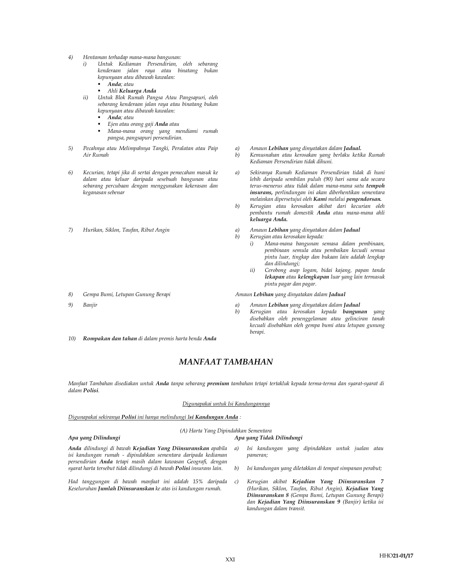- 4) Hentaman terhadap mana-mana bangunan:
	- i) Untuk Kediaman Persendirian, oleh sebarang kenderaan jalan raya atau binatang bukan kepunyaan atau dibawah kawalan:
		- **Anda**; atau
		- Ahli Keluarga Anda
	- ii) Untuk Blok Rumah Pangsa Atau Pangsapuri, oleh sebarang kenderaan jalan raya atau binatang bukan kepunyaan atau dibawah kawalan:
		- Anda; atau
		- Ejen atau orang gaji Anda atau
		- Mana-mana orang yang mendiami rumah pangsa, pangsapuri persendirian.
- 5) Pecahnya atau Melimpahnya Tangki, Peralatan atau Paip Air Rumah
- 6) Kecurian, tetapi jika di sertai dengan pemecahan masuk ke dalam atau keluar daripada sesebuah bangunan atau sebarang percubaan dengan menggunakan kekerasan dan keganasan sebenar
- 
- 
- 
- 10) Rompakan dan tahan di dalam premis harta benda Anda
- a) Amaun Lebihan yang dinyatakan dalam Jadual.
- b) Kemusnahan atau kerosakan yang berlaku ketika Rumah Kediaman Persendirian tidak dihuni.
- a) Sekiranya Rumah Kediaman Persendirian tidak di huni lebih daripada sembilan puluh (90) hari sama ada secara terus-menerus atau tidak dalam mana-mana satu tempoh insurans, perlindungan ini akan diberhentikan sementara melainkan dipersetujui oleh Kami melalui pengendorsan.
- b) Kerugian atau kerosakan akibat dari kecurian oleh pembantu rumah domestik Anda atau mana-mana ahli keluarga Anda.
- 7) Hurikan, Siklon, Taufan, Ribut Angin **ang pandatan dalam Jadual** a) Amaun Lebihan yang dinyatakan dalam **Jadual** 
	- b) Kerugian atau kerosakan kepada:
		- i) Mana-mana bangunan semasa dalam pembinaan, pembinaan semula atau pembaikan kecuali semua pintu luar, tingkap dan bukaan lain adalah lengkap dan dilindungi;
		- ii) Cerobong asap logam, bidai kajang, papan tanda lekapan atau kelengkapan luar yang lain termasuk pintu pagar dan pagar.

8) Gempa Bumi, Letupan Gunung Berapi **Amaun Lebihan yang dinyatakan dalam Jadual** 

- 9) Banjir **a) Banjir** a) Amaun Lebihan yang dinyatakan dalam **Jadual** 
	- b) Kerugian atau kerosakan kepada bangunan yang disebabkan oleh penenggelaman atau gelinciran tanah kecuali disebabkan oleh gempa bumi atau letupan gunung berapi.

## MANFAAT TAMBAHAN

Manfaat Tambahan disediakan untuk Anda tanpa sebarang premium tambahan tetapi tertakluk kepada terma-terma dan syarat-syarat di dalam Polisi.

#### Digunapakai untuk Isi Kandungannya

Digunapakai sekiranya Polisi ini hanya melindungi Isi Kandungan Anda:

## (A) Harta Yang Dipindahkan Sementara

## Apa yang Dilindungi Apa yang Tidak Dilindungi

- Anda dilindungi di bawah Kejadian Yang Diinsuranskan apabila isi kandungan rumah - dipindahkan sementara daripada kediaman persendirian Anda tetapi masih dalam kawasan Geografi, dengan syarat harta tersebut tidak dilindungi di bawah Polisi insurans lain.
- Had tanggungan di bawah manfaat ini adalah 15% daripada Keseluruhan Jumlah Diinsuranskan ke atas isi kandungan rumah.
- a) Isi kandungan yang dipindahkan untuk jualan atau pameran;
- b) Isi kandungan yang diletakkan di tempat simpanan perabut;
	- c) Kerugian akibat Kejadian Yang Diinsuranskan 7 (Hurikan, Siklon, Taufan, Ribut Angin), Kejadian Yang Diinsuranskan 8 (Gempa Bumi, Letupan Gunung Berapi) dan Kejadian Yang Diinsuranskan 9 (Banjir) ketika isi kandungan dalam transit.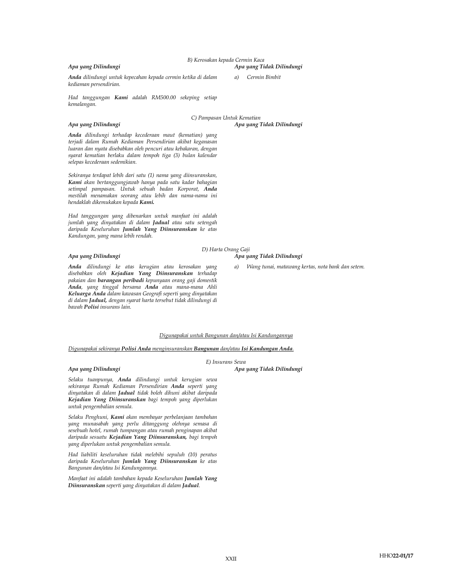B) Kerosakan kepada Cermin Kaca Apa yang Dilindungi Apa yang Tidak Dilindungi

a) Cermin Bimbit

Anda dilindungi untuk kepecahan kepada cermin ketika di dalam kediaman persendirian.

Had tanggungan Kami adalah RM500.00 sekeping setiap kemalangan.

#### Apa yang Dilindungi Apa yang Tidak Dilindungi

C) Pampasan Untuk Kematian

Anda dilindungi terhadap kecederaan maut (kematian) yang terjadi dalam Rumah Kediaman Persendirian akibat keganasan luaran dan nyata disebabkan oleh pencuri atau kebakaran, dengan syarat kematian berlaku dalam tempoh tiga (3) bulan kalendar selepas kecederaan sedemikian.

Sekiranya terdapat lebih dari satu (1) nama yang diinsuranskan, Kami akan bertanggungjawab hanya pada satu kadar bahagian setimpal pampasan. Untuk sebuah badan Korporat, Anda mestilah menamakan seorang atau lebih dan nama-nama ini hendaklah dikemukakan kepada Kami.

Had tanggungan yang dibenarkan untuk manfaat ini adalah jumlah yang dinyatakan di dalam Jadual atau satu setengah daripada Keseluruhan Jumlah Yang Diinsuranskan ke atas Kandungan, yang mana lebih rendah.

D) Harta Orang Gaji

Apa yang Dilindungi Apa yang Tidak Dilindungi

a) Wang tunai, matawang kertas, nota bank dan setem.

Anda dilindungi ke atas kerugian atau kerosakan yang disebabkan oleh Kejadian Yang Diinsuranskan terhadap pakaian dan barangan peribadi kepunyaan orang gaji domestik Anda, yang tinggal bersama Anda atau mana-mana Ahli Keluarga Anda dalam kawasan Geografi seperti yang dinyatakan di dalam Jadual, dengan syarat harta tersebut tidak dilindungi di bawah Polisi insurans lain.

#### Digunapakai untuk Bangunan dan/atau Isi Kandungannya

E) Insurans Sewa

Digunapakai sekiranya Polisi Anda menginsuranskan Bangunan dan/atau Isi Kandungan Anda.

#### Apa yang Dilindungi Apa yang Tidak Dilindungi

Selaku tuanpunya, Anda dilindungi untuk kerugian sewa sekiranya Rumah Kediaman Persendirian Anda seperti yang dinyatakan di dalam Jadual tidak boleh dihuni akibat daripada Kejadian Yang Diinsuranskan bagi tempoh yang diperlukan untuk pengembalian semula.

Selaku Penghuni, Kami akan membayar perbelanjaan tambahan yang munasabah yang perlu ditanggung olehnya semasa di sesebuah hotel, rumah tumpangan atau rumah penginapan akibat daripada sesuatu Kejadian Yang Diinsuranskan, bagi tempoh yang diperlukan untuk pengembalian semula.

Had liabiliti keseluruhan tidak melebihi sepuluh (10) peratus daripada Keseluruhan Jumlah Yang Diinsuranskan ke atas Bangunan dan/atau Isi Kandungannya.

Manfaat ini adalah tambahan kepada Keseluruhan Jumlah Yang Diinsuranskan seperti yang dinyatakan di dalam Jadual.

XXII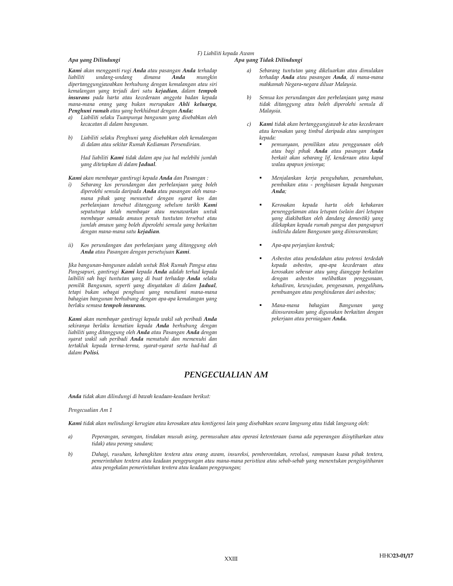### F) Liabiliti kepada Awam

### Apa yang Dilindungi Apa yang Tidak Dilindungi

Kami akan mengganti rugi Anda atau pasangan Anda terhadap liabiliti undang-undang dimana Anda mungkin dipertanggungjawabkan berhubung dengan kemalangan atau siri kemalangan yang terjadi dari satu kejadian, dalam tempoh insurans pada harta atau kecederaan anggota badan kepada mana-mana orang yang bukan merupakan Ahli keluarga, Penghuni rumah atau yang berkhidmat dengan Anda:

- a) Liabiliti selaku Tuanpunya bangunan yang disebabkan oleh kecacatan di dalam bangunan.
- b) Liabiliti selaku Penghuni yang disebabkan oleh kemalangan di dalam atau sekitar Rumah Kediaman Persendirian.

Had liabiliti Kami tidak dalam apa jua hal melebihi jumlah yang ditetapkan di dalam Jadual.

Kami akan membayar gantirugi kepada Anda dan Pasangan :

- Sebarang kos perundangan dan perbelanjaan yang boleh diperolehi semula daripada Anda atau pasangan oleh manamana pihak yang menuntut dengan syarat kos dan perbelanjaan tersebut ditanggung sebelum tarikh Kami sepatutnya telah membayar atau menawarkan untuk membayar samada amaun penuh tuntutan tersebut atau jumlah amaun yang boleh diperolehi semula yang berkaitan dengan mana-mana satu kejadian.
- ii) Kos perundangan dan perbelanjaan yang ditanggung oleh Anda atau Pasangan dengan persetujuan Kami.

Jika bangunan-bangunan adalah untuk Blok Rumah Pangsa atau Pangsapuri, gantirugi Kami kepada Anda adalah terhad kepada laibiliti sah bagi tuntutan yang di buat terhadap Anda selaku pemilik Bangunan, seperti yang dinyatakan di dalam Jadual, tetapi bukan sebagai penghuni yang mendiami mana-mana bahagian bangunan berhubung dengan apa-apa kemalangan yang berlaku semasa tempoh insurans.

Kami akan membayar gantirugi kepada wakil sah peribadi Anda sekiranya berlaku kematian kepada Anda berhubung dengan liabiliti yang ditanggung oleh Anda atau Pasangan Anda dengan syarat wakil sah peribadi Anda mematuhi dan memenuhi dan tertakluk kepada terma-terma, syarat-syarat serta had-had di dalam Polisi.

- a) Sebarang tuntutan yang dikeluarkan atau dimulakan terhadap Anda atau pasangan Anda, di mana-mana mahkamah Negara-negara diluar Malaysia.
- b) Semua kos perundangan dan perbelanjaan yang mana tidak ditanggung atau boleh diperolehi semula di Malaysia.
- c) Kami tidak akan bertanggungjawab ke atas kecederaan atau kerosakan yang timbul daripada atau sampingan kepada:
	- pemunyaan, pemilikan atau penggunaan oleh atau bagi pihak Anda atau pasangan Anda berkait akan sebarang lif, kenderaan atau kapal walau apapun jenisnya;
	- Menjalankan kerja pengubahan, penambahan, pembaikan atau - penghiasan kepada bangunan Anda;
	- Kerosakan kepada harta oleh kebakaran penenggelaman atau letupan (selain dari letupan yang diakibatkan oleh dandang domestik) yang dilekapkan kepada rumah pangsa dan pangsapuri individu dalam Bangunan yang diinsuranskan;
	- Apa-apa perjanjian kontrak;
	- Asbestos atau pendedahan atau potensi terdedah kepada asbestos, apa-apa kecederaan atau kerosakan sebenar atau yang dianggap berkaitan dengan asbestos melibatkan penggunaan, kehadiran, kewujudan, pengesanan, pengalihan, pembuangan atau penghindaran dari asbestos;
	- Mana-mana bahagian Bangunan yang diinsuranskan yang digunakan berkaitan dengan pekerjaan atau perniagaan Anda.

## PENGECUALIAN AM

Anda tidak akan dilindungi di bawah keadaan-keadaan berikut:

#### Pengecualian Am 1

Kami tidak akan melindungi kerugian atau kerosakan atau kontigensi lain yang disebabkan secara langsung atau tidak langsung oleh:

- a) Peperangan, serangan, tindakan musuh asing, permusuhan atau operasi ketenteraan (sama ada peperangan diisytiharkan atau tidak) atau perang saudara;
- b) Dahagi, rusuhan, kebangkitan tentera atau orang awam, insureksi, pemberontakan, revolusi, rampasan kuasa pihak tentera, pemerintahan tentera atau keadaan pengepungan atau mana-mana peristiwa atau sebab-sebab yang menentukan pengisyitiharan atau pengekalan pemerintahan tentera atau keadaan pengepungan;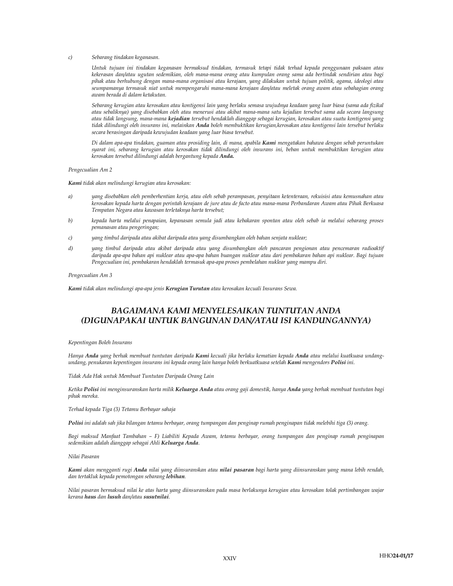#### c) Sebarang tindakan keganasan.

Untuk tujuan ini tindakan keganasan bermaksud tindakan, termasuk tetapi tidak terhad kepada penggunaan paksaan atau kekerasan dan/atau ugutan sedemikian, oleh mana-mana orang atau kumpulan orang sama ada bertindak sendirian atau bagi pihak atau berhubung dengan mana-mana organisasi atau kerajaan, yang dilakukan untuk tujuan politik, agama, ideologi atau seumpamanya termasuk niat untuk mempengaruhi mana-mana kerajaan dan/atau meletak orang awam atau sebahagian orang awam berada di dalam ketakutan.

Sebarang kerugian atau kerosakan atau kontigensi lain yang berlaku semasa wujudnya keadaan yang luar biasa (sama ada fizikal atau sebaliknya) yang disebabkan oleh atau menerusi atau akibat mana-mana satu kejadian tersebut sama ada secara langsung atau tidak langsung, mana-mana kejadian tersebut hendaklah dianggap sebagai kerugian, kerosakan atau suatu kontigensi yang tidak dilindungi oleh insurans ini, melainkan Anda boleh membuktikan kerugian,kerosakan atau kontigensi lain tersebut berlaku secara berasingan daripada kewujudan keadaan yang luar biasa tersebut.

Di dalam apa-apa tindakan, guaman atau prosiding lain, di mana, apabila Kami mengatakan bahawa dengan sebab peruntukan syarat ini, sebarang kerugian atau kerosakan tidak dilindungi oleh insurans ini, beban untuk membuktikan kerugian atau kerosakan tersebut dilindungi adalah bergantung kepada Anda.

Pengecualian Am 2

Kami tidak akan melindungi kerugian atau kerosakan:

- a) yang disebabkan oleh pemberhentian kerja, atau oleh sebab perampasan, penyitaan ketenteraan, rekuisisi atau kemusnahan atau kerosakan kepada harta dengan perintah kerajaan de jure atau de facto atau mana-mana Perbandaran Awam atau Pihak Berkuasa Tempatan Negara atau kawasan terletaknya harta tersebut;
- b) kepada harta melalui penapaian, kepanasan semula jadi atau kebakaran spontan atau oleh sebab ia melalui sebarang proses pemanasan atau pengeringan;
- c) yang timbul daripada atau akibat daripada atau yang disumbangkan oleh bahan senjata nuklear;
- d) yang timbul daripada atau akibat daripada atau yang disumbangkan oleh pancaran pengionan atau pencemaran radioaktif daripada apa-apa bahan api nuklear atau apa-apa bahan buangan nuklear atau dari pembakaran bahan api nuklear. Bagi tujuan Pengecualian ini, pembakaran hendaklah termasuk apa-apa proses pembelahan nuklear yang mampu diri.

#### Pengecualian Am 3

Kami tidak akan melindungi apa-apa jenis Kerugian Turutan atau kerosakan kecuali Insurans Sewa.

## BAGAIMANA KAMI MENYELESAIKAN TUNTUTAN ANDA (DIGUNAPAKAI UNTUK BANGUNAN DAN/ATAU ISI KANDUNGANNYA)

#### Kepentingan Boleh Insurans

Hanya Anda yang berhak membuat tuntutan daripada Kami kecuali jika berlaku kematian kepada Anda atau melalui kuatkuasa undangundang, penukaran kepentingan insurans ini kepada orang lain hanya boleh berkuatkuasa setelah Kami mengendors Polisi ini.

Tidak Ada Hak untuk Membuat Tuntutan Daripada Orang Lain

Ketika Polisi ini menginsuranskan harta milik Keluarga Anda atau orang gaji domestik, hanya Anda yang berhak membuat tuntutan bagi pihak mereka.

Terhad kepada Tiga (3) Tetamu Berbayar sahaja

Polisi ini adalah sah jika bilangan tetamu berbayar, orang tumpangan dan penginap rumah penginapan tidak melebihi tiga (3) orang.

Bagi maksud Manfaat Tambahan – F) Liabiliti Kepada Awam, tetamu berbayar, orang tumpangan dan penginap rumah penginapan sedemikian adalah dianggap sebagai Ahli Keluarga Anda.

#### Nilai Pasaran

Kami akan mengganti rugi Anda nilai yang diinsuranskan atau nilai pasaran bagi harta yang diinsuranskan yang mana lebih rendah, dan tertakluk kepada pemotongan sebarang lebihan.

Nilai pasaran bermaksud nilai ke atas harta yang diinsuranskan pada masa berlakunya kerugian atau kerosakan tolak pertimbangan wajar kerana haus dan lusuh dan/atau susutnilai.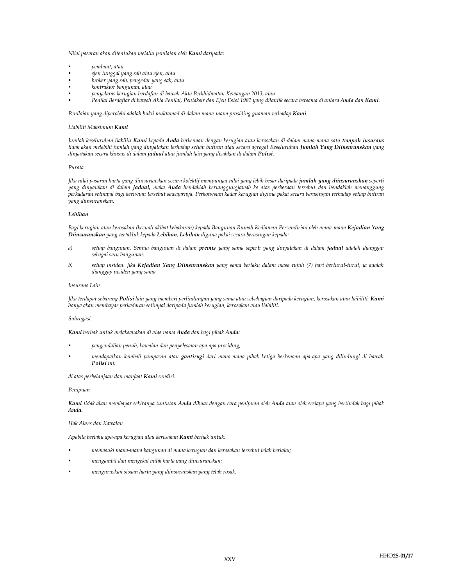Nilai pasaran akan ditentukan melalui penilaian oleh Kami daripada:

- pembuat, atau
- ejen tunggal yang sah atau ejen, atau
- broker yang sah, pengedar yang sah, atau
- kontraktor bangunan, atau
- penyelaras kerugian berdaftar di bawah Akta Perkhidmatan Kewangan 2013, atau
- Penilai Berdaftar di bawah Akta Penilai, Pentaksir dan Ejen Estet 1981 yang dilantik secara bersama di antara Anda dan Kami.

Penilaian yang diperolehi adalah bukti muktamad di dalam mana-mana prosiding guaman terhadap Kami.

#### Liabiliti Maksimum Kami

Jumlah keseluruhan liabiliti Kami kepada Anda berkenaan dengan kerugian atau kerosakan di dalam mana-mana satu tempoh insurans tidak akan melebihi jumlah yang dinyatakan terhadap setiap butiran atau secara agregat Keseluruhan Jumlah Yang Diinsuranskan yang dinyatakan secara khusus di dalam jadual atau jumlah lain yang disahkan di dalam Polisi.

#### Purata

Jika nilai pasaran harta yang diinsuranskan secara kolektif mempunyai nilai yang lebih besar daripada jumlah yang diinsuranskan seperti yang dinyatakan di dalam jadual, maka Anda hendaklah bertanggungjawab ke atas perbezaan tersebut dan hendaklah menanggung perkadaran setimpal bagi kerugian tersebut sewajarnya. Perkongsian kadar kerugian diguna pakai secara berasingan terhadap setiap butiran yang diinsuranskan.

#### Lebihan

Bagi kerugian atau kerosakan (kecuali akibat kebakaran) kepada Bangunan Rumah Kediaman Persendirian oleh mana-mana Kejadian Yang Diinsuranskan yang tertakluk kepada Lebihan, Lebihan diguna pakai secara berasingan kepada:

- a) setiap bangunan. Semua bangunan di dalam premis yang sama seperti yang dinyatakan di dalam jadual adalah dianggap sebagai satu bangunan.
- b) setiap insiden. Jika Kejadian Yang Diinsuranskan yang sama berlaku dalam masa tujuh (7) hari berturut-turut, ia adalah dianggap insiden yang sama

#### Insurans Lain

Jika terdapat sebarang Polisi lain yang memberi perlindungan yang sama atau sebahagian daripada kerugian, kerosakan atau laibiliti, Kami hanya akan membayar perkadaran setimpal daripada jumlah kerugian, kerosakan atau liabiliti.

### Subrogasi

Kami berhak untuk melaksanakan di atas nama Anda dan bagi pihak Anda:

- pengendalian penuh, kawalan dan penyelesaian apa-apa prosiding;
- mendapatkan kembali pampasan atau gantirugi dari mana-mana pihak ketiga berkenaan apa-apa yang dilindungi di bawah Polisi ini.

di atas perbelanjaan dan manfaat Kami sendiri.

#### Penipuan

Kami tidak akan membayar sekiranya tuntutan Anda dibuat dengan cara penipuan oleh Anda atau oleh sesiapa yang bertindak bagi pihak Anda.

#### Hak Akses dan Kawalan

Apabila berlaku apa-apa kerugian atau kerosakan Kami berhak untuk:

- memasuki mana-mana bangunan di mana kerugian dan kerosakan tersebut telah berlaku;
- mengambil dan mengekal milik harta yang diinsuranskan;
- menguruskan sisaan harta yang diinsuranskan yang telah rosak.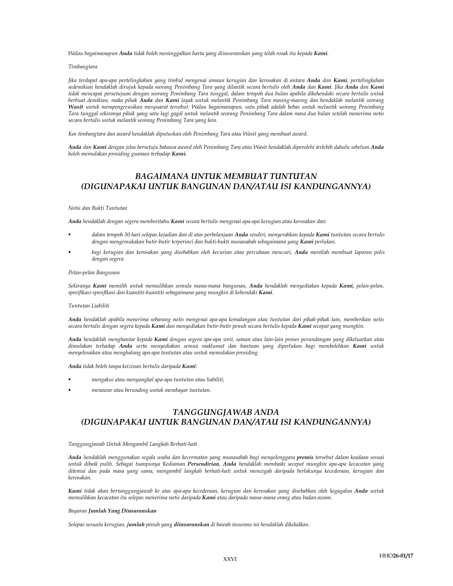Walau bagaimanapun Anda tidak boleh meninggalkan harta yang diinsuranskan yang telah rosak itu kepada Kami.

#### Timbangtara

Jika terdapat apa-apa pertelingkahan yang timbul mengenai amaun kerugian dan kerosakan di antara Anda dan Kami, pertelingkahan sedemikian hendaklah dirujuk kepada seorang Penimbang Tara yang dilantik secara bertulis oleh Anda dan Kami. Jika Anda dan Kami tidak mencapai persetujuan dengan seorang Penimbang Tara tunggal, dalam tempoh dua bulan apabila dikehendaki secara bertulis untuk berbuat demikian, maka pihak Anda dan Kami layak untuk melantik Penimbang Tara masing-masing dan hendaklah melantik seorang Wasit untuk mempengerusikan mesyuarat tersebut. Walau bagaimanapun, satu pihak adalah bebas untuk melantik seorang Penimbang Tara tunggal sekiranya pihak yang satu lagi gagal untuk melantik seorang Penimbang Tara dalam masa dua bulan setelah menerima notis secara bertulis untuk melantik seorang Penimbang Tara yang lain.

Kos timbangtara dan award hendaklah diputuskan oleh Penimbang Tara atau Wasit yang membuat award.

Anda dan Kami dengan jelas bersetuju bahawa award oleh Penimbang Tara atau Wasit hendaklah diperolehi terlebih dahulu sebelum Anda boleh memulakan prosiding guaman terhadap Kami.

## BAGAIMANA UNTUK MEMBUAT TUNTUTAN (DIGUNAPAKAI UNTUK BANGUNAN DAN/ATAU ISI KANDUNGANNYA)

### Notis dan Bukti Tuntutan

Anda hendaklah dengan segera memberitahu Kami secara bertulis mengenai apa-apa kerugian atau kerosakan dan:

- dalam tempoh 30 hari selepas kejadian dan di atas perbelanjaan Anda sendiri, menyerahkan kepada Kami tuntutan secara bertulis dengan mengemukakan butir-butir terperinci dan bukti-bukti munasabah sebagaimana yang Kami perlukan.
- bagi kerugian dan kerosakan yang disebabkan oleh kecurian atau percubaan mencuri, Anda mestilah membuat laporan polis dengan segera.

#### Pelan-pelan Bangunan

Sekiranya Kami memilih untuk memulihkan semula mana-mana bangunan, Anda hendaklah menyediakan kepada Kami, pelan-pelan, spesifikasi-spesifikasi dan kuantiti-kuantiti sebagaimana yang mungkin di kehendaki Kami.

#### Tuntutan Liabiliti

Anda hendaklah apabila menerima sebarang notis mengenai apa-apa kemalangan atau tuntutan dari pihak-pihak lain, memberikan notis secara bertulis dengan segera kepada Kami dan menyediakan butir-butir penuh secara bertulis kepada Kami secepat yang mungkin.

Anda hendaklah menghantar kepada Kami dengan segera apa-apa writ, saman atau lain-lain proses perundangan yang dikeluarkan atau dimulakan terhadap Anda serta menyediakan semua maklumat dan bantuan yang diperlukan bagi membolehkan Kami untuk menyelesaikan atau menghalang apa-apa tuntutan atau untuk memulakan prosiding.

Anda tidak boleh tanpa keizinan bertulis daripada Kami:

- mengakui atau menyangkal apa-apa tuntutan atau liabiliti;
- menawar atau berunding untuk membayar tuntutan.

## TANGGUNGJAWAB ANDA (DIGUNAPAKAI UNTUK BANGUNAN DAN/ATAU ISI KANDUNGANNYA)

#### Tanggungjawab Untuk Mengambil Langkah Berhati-hati

Anda hendaklah menggunakan segala usaha dan kecermatan yang munasabah bagi menyelenggara premis tersebut dalam keadaan sesuai untuk dibaik pulih. Sebagai tuanpunya Kediaman Persendirian, Anda hendaklah membaiki secepat mungkin apa-apa kecacatan yang ditemui dan pada masa yang sama, mengambil langkah berhati-hati untuk mencegah daripada berlakunya kecederaan, kerugian dan kerosakan.

Kami tidak akan bertanggungjawab ke atas apa-apa kecederaan, kerugian dan kerosakan yang disebabkan oleh kegagalan Anda untuk memulihkan kecacatan itu selepas menerima notis daripada Kami atau daripada mana-mana orang atau badan awam.

#### Bayaran Jumlah Yang Dinsuranskan

Selepas sesuatu kerugian, jumlah penuh yang diinsuranskan di bawah insurans ini hendaklah dikekalkan.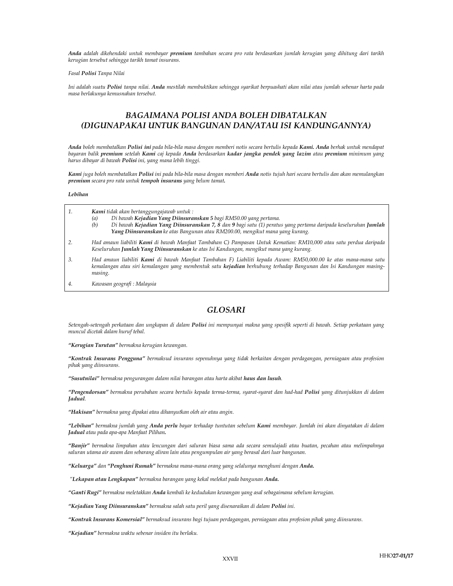Anda adalah dikehendaki untuk membayar premium tambahan secara pro rata berdasarkan jumlah kerugian yang dihitung dari tarikh kerugian tersebut sehingga tarikh tamat insurans.

#### Fasal Polisi Tanpa Nilai

Ini adalah suatu Polisi tanpa nilai. Anda mestilah membuktikan sehingga syarikat berpuashati akan nilai atau jumlah sebenar harta pada masa berlakunya kemusnahan tersebut.

## BAGAIMANA POLISI ANDA BOLEH DIBATALKAN (DIGUNAPAKAI UNTUK BANGUNAN DAN/ATAU ISI KANDUNGANNYA)

Anda boleh membatalkan Polisi ini pada bila-bila masa dengan memberi notis secara bertulis kepada Kami. Anda berhak untuk mendapat bayaran balik premium setelah Kami caj kepada Anda berdasarkan kadar jangka pendek yang lazim atau premium minimum yang harus dibayar di bawah Polisi ini, yang mana lebih tinggi.

Kami juga boleh membatalkan Polisi ini pada bila-bila masa dengan memberi Anda notis tujuh hari secara bertulis dan akan memulangkan premium secara pro rata untuk tempoh insurans yang belum tamat.

#### Lebihan

| 1.  | Kami tidak akan bertanggungajawab untuk:<br>Di bawah Kejadian Yang Diinsuranskan 5 bagi RM50.00 yang pertama.<br>(a)<br>Di bawah Kejadian Yang Diinsuranskan 7, 8 dan 9 bagi satu (1) peratus yang pertama daripada keseluruhan Jumlah<br>(b)<br>Yang Diinsuranskan ke atas Bangunan atau RM200.00, mengikut mana yang kurang. |
|-----|--------------------------------------------------------------------------------------------------------------------------------------------------------------------------------------------------------------------------------------------------------------------------------------------------------------------------------|
| -2. | Had amaun liabiliti <b>Kami</b> di bawah Manfaat Tambahan C) Pampasan Untuk Kematian: RM10,000 atau satu perdua daripada<br>Keseluruhan Jumlah Yang Diinsuranskan ke atas Isi Kandungan, mengikut mana yang kurang.                                                                                                            |
| -3. | Had amaun liabiliti <b>Kami</b> di bawah Manfaat Tambahan F) Liabiliti kepada Awam: RM50,000.00 ke atas mana-mana satu<br>kanglangan atau gini kanglangan yang mambantuk satu kaiadiga barbuhung tarbadan Dangungu dan Joi Kandungan maging                                                                                    |

- tau siri kemalangan yang membentuk satu **kejadian** berhubung terhadap Bangunan dan Isi Kandungan masing masing.
- 4. Kawasan geografi : Malaysia

## GLOSARI

Setengah-setengah perkataan dan ungkapan di dalam Polisi ini mempunyai makna yang spesifik seperti di bawah. Setiap perkataan yang muncul dicetak dalam huruf tebal.

"Kerugian Turutan" bermakna kerugian kewangan.

"Kontrak Insurans Pengguna" bermaksud insurans sepenuhnya yang tidak berkaitan dengan perdagangan, perniagaan atau profesion pihak yang diinsurans.

"Susutnilai" bermakna pengurangan dalam nilai barangan atau harta akibat haus dan lusuh.

"Pengendorsan" bermakna perubahan secara bertulis kepada terma-terma, syarat-syarat dan had-had Polisi yang ditunjukkan di dalam Jadual.

"Hakisan" bermakna yang dipakai atau dihanyutkan oleh air atau angin.

"Lebihan" bermakna jumlah yang Anda perlu bayar terhadap tuntutan sebelum Kami membayar. Jumlah ini akan dinyatakan di dalam Jadual atau pada apa-apa Manfaat Pilihan.

"Banjir" bermakna limpahan atau lencungan dari saluran biasa sama ada secara semulajadi atau buatan, pecahan atau melimpahnya saluran utama air awam dan sebarang aliran lain atau pengumpulan air yang berasal dari luar bangunan.

"Keluarga" dan "Penghuni Rumah" bermakna mana-mana orang yang selalunya menghuni dengan Anda.

"Lekapan atau Lengkapan" bermakna barangan yang kekal melekat pada bangunan Anda.

"Ganti Rugi" bermakna meletakkan Anda kembali ke kedudukan kewangan yang asal sebagaimana sebelum kerugian.

"Kejadian Yang Diinsuranskan" bermakna salah satu peril yang disenaraikan di dalam Polisi ini.

"Kontrak Insurans Komersial" bermaksud insurans bagi tujuan perdagangan, perniagaan atau profesion pihak yang diinsurans.

"Kejadian" bermakna waktu sebenar insiden itu berlaku.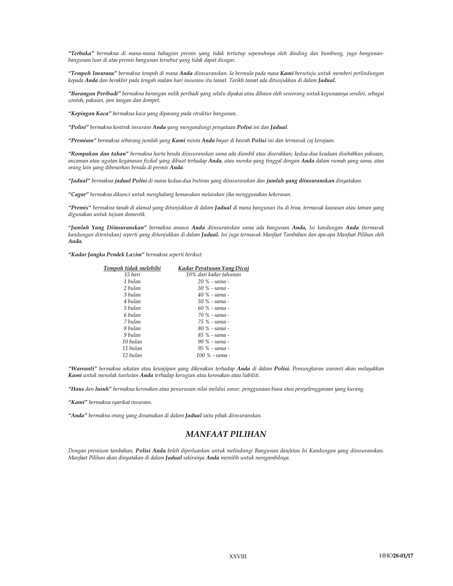"Terbuka" bermakna di mana-mana bahagian premis yang tidak tertutup sepenuhnya oleh dinding dan bumbung, juga bangunanbangunan luar di atas premis bangunan tersebut yang tidak dapat dicagar.

"Tempoh Insurans" bermakna tempoh di mana Anda diinsuranskan. Ia bermula pada masa Kami bersetuju untuk memberi perlindungan kepada Anda dan berakhir pada tengah malam hari insurans itu tamat. Tarikh tamat ada ditunjukkan di dalam Jadual.

"Barangan Peribadi" bermakna barangan milik peribadi yang selalu dipakai atau dibawa oleh seseorang untuk kegunaanya sendiri, sebagai contoh, pakaian, jam tangan dan dompet.

"Kepingan Kaca" bermakna kaca yang dipasang pada struktur bangunan.

"Polisi" bermakna kontrak insurans Anda yang mengandungi penyataan Polisi ini dan Jadual.

"Premium" bermakna sebarang jumlah yang Kami minta Anda bayar di bawah Polisi ini dan termasuk caj kerajaan.

"Rompakan dan tahan" bermakna harta benda diinsuranskan sama ada diambil atau diserahkan; kedua-dua keadaan disebabkan paksaan, ancaman atau ugutan keganasan fizikal yang dibuat terhadap Anda, atau mereka yang tinggal dengan Anda dalam rumah yang sama, atau orang lain yang dibenarkan berada di premis Anda.

"Jadual" bermakna jadual Polisi di mana kedua-dua butiran yang diinsuranskan dan jumlah yang diinsuranskan dinyatakan.

"Cagar" bermakna dikunci untuk menghalang kemasukan melainkan jika menggunakan kekerasan.

"Premis" bermakna tanah di alamat yang ditunjukkan di dalam Jadual di mana bangunan itu di bina, termasuk kawasan atau taman yang digunakan untuk tujuan domestik.

"Jumlah Yang Diinsuranskan" bermakna amaun Anda diinsuranskan sama ada bangunan Anda, Isi kandungan Anda (termasuk kandungan ditentukan) seperti yang ditunjukkan di dalam **Jadual.** Ini juga termasuk Manfaat Tambahan dan apa-apa Manfaat Pilihan oleh Anda.

"Kadar Jangka Pendek Lazim" bermakna seperti berikut:

| Tempoh tidak melebihi | <b>Kadar Peratusan Yang Dicaj</b> |
|-----------------------|-----------------------------------|
| 15 hari               | 10% dari kadar tahunan            |
| 1 bulan               | $20 \%$ - sama -                  |
| 2 bulan               | 30 % - sama -                     |
| 3 hulan               | 40 % - sama -                     |
| 4 hulan               | $50 \%$ - sama -                  |
| 5 bulan               | 60 % - sama -                     |
| 6 hulan               | 70 % - sama -                     |
| 7 bulan               | 75 % - sama -                     |
| 8 bulan               | 80 % - sama -                     |
| 9 hulan               | 85 % - sama -                     |
| 10 bulan              | 90 % - sama -                     |
| 11 bulan              | 95 % - sama -                     |
| 12 bulan              | 100 % - sama -                    |
|                       |                                   |

"Warranti" bermakna sekatan atau kewajipan yang dikenakan terhadap Anda di dalam Polisi. Pemungkaran waranti akan melayakkan Kami untuk menolak tuntutan Anda terhadap kerugian atau kerosakan atau liabiliti.

"Haus dan lusuh" bermakna kerosakan atau penurunan nilai melalui umur, penggunaan biasa atau penyelenggaraan yang kurang.

"Kami" bermakna syarikat insurans.

"Anda" bermakna orang yang dinamakan di dalam Jadual iaitu pihak diinsuranskan.

## MANFAAT PILIHAN

Dengan premium tambahan, Polisi Anda boleh diperluaskan untuk melindungi Bangunan dan/atau Isi Kandungan yang diinsuranskan. Manfaat Pilihan akan dinyatakan di dalam Jadual sekiranya Anda memilih untuk mengambilnya.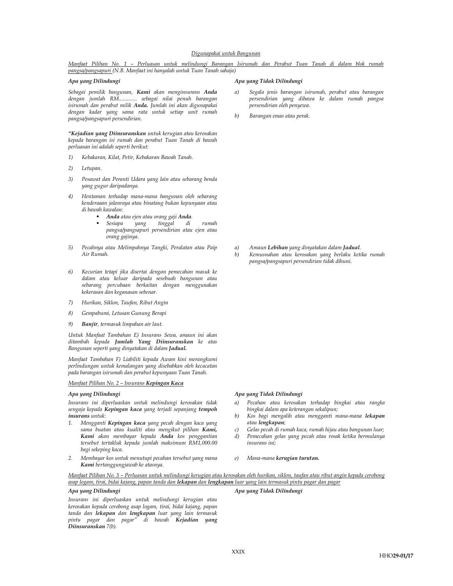Manfaat Pilihan No. 1 – Perluasan untuk melindungi Barangan Isirumah dan Perabut Tuan Tanah di dalam blok rumah pangsa/pangsapuri (N.B. Manfaat ini hanyalah untuk Tuan Tanah sahaja)

Sebagai pemilik bangunan, Kami akan menginsurans Anda dengan jumlah RM............. sebagai nilai penuh barangan isirumah dan perabut milik Anda. Jumlah ini akan digunapakai dengan kadar yang sama rata untuk setiap unit rumah pangsa/pangsapuri persendirian.

"Kejadian yang Diinsuranskan untuk kerugian atau kerosakan kepada barangan isi rumah dan perabut Tuan Tanah di bawah perluasan ini adalah seperti berikut:

- 1) Kebakaran, Kilat, Petir, Kebakaran Bawah Tanah.
- 2) Letupan.
- 3) Pesawat dan Peranti Udara yang lain atau sebarang benda yang gugur daripadanya.
- 4) Hentaman terhadap mana-mana bangunan oleh sebarang kenderaaan jalanraya atau binatang bukan kepunyaan atau di bawah kawalan:
	- Anda atau ejen atau orang gaji Anda.
	- Sesiapa yang tinggal di rumah pangsa/pangsapuri persendirian atau ejen atau orang gajinya.
- 5) Pecahnya atau Melimpahnya Tangki, Peralatan atau Paip Air Rumah.
- 6) Kecurian tetapi jika disertai dengan pemecahan masuk ke dalam atau keluar daripada sesebuah bangunan atau sebarang percubaan berkaitan dengan menggunakan kekerasan dan keganasan sebenar.
- 7) Hurikan, Siklon, Taufan, Ribut Angin
- 8) Gempabumi, Letusan Gunung Berapi
- 9) Banjir, termasuk limpahan air laut.

Untuk Manfaat Tambahan E) Insurans Sewa, amaun ini akan ditambah kepada Jumlah Yang Diinsuranskan ke atas Bangunan seperti yang dinyatakan di dalam Jadual.

Manfaat Tambahan F) Liabiliti kepada Awam kini merangkumi perlindungan untuk kemalangan yang disebabkan oleh kecacatan pada barangan isirumah dan perabut kepunyaan Tuan Tanah.

### Manfaat Pilihan No. 2 – Insurans Kepingan Kaca

Insurans ini diperluaskan untuk melindungi kerosakan tidak sengaja kepada Kepingan kaca yang terjadi sepanjang tempoh insurans untuk:

- 1. Mengganti Kepingan kaca yang pecah dengan kaca yang sama buatan atau kualiti atau mengikut pilihan Kami, Kami akan membayar kepada Anda kos penggantian tersebut tertakluk kepada jumlah maksimum RM1,000.00 bagi sekeping kaca.
- 2. Membayar kos untuk menutupi pecahan tersebut yang mana Kami bertanggungjawab ke atasnya.

#### Apa yang Dilindungi Apa yang Tidak Dilindungi

- Segala jenis barangan isirumah, perabut atau barangan persendirian yang dibawa ke dalam rumah pangsa persendirian oleh penyewa.
- b) Barangan emas atau perak.

- a) Amaun Lebihan yang dinyatakan dalam Jadual.
- b) Kemusnahan atau kerosakan yang berlaku ketika rumah pangsa/pangsapuri persendirian tidak dihuni.

### Apa yang Dilindungi Apa yang Tidak Dilindungi

- a) Pecahan atau kerosakan terhadap bingkai atau rangka bingkai dalam apa keterangan sekalipun;
- b) Kos bagi mengalih atau mengganti mana-mana lekapan atau lengkapan;
- c) Gelas pecah di rumah kaca, rumah hijau atau bangunan luar;<br>d) Pemecahan gelas yang pecah atau rosak ketika bermulanya Pemecahan gelas yang pecah atau rosak ketika bermulanya
- insurans ini;
- e) Mana-mana kerugian turutan.

Manfaat Pilihan No. 3 – Perluasan untuk melindungi kerugian atau kerosakan oleh hurikan, siklon, taufan atau ribut angin kepada cerobong asap logam, tirai, bidai kajang, papan tanda dan lekapan dan lengkapan luar yang lain termasuk pintu pagar dan pagar

Insurans ini diperluaskan untuk melindungi kerugian atau kerosakan kepada cerobong asap logam, tirai, bidai kajang, papan tanda dan l**ekapan** dan lengkapan luar yang lain termasuk<br>pintu pagar dan pagar" di bawah Kejadian yang pintu pagar dan pagar" Diinsuranskan 7(b).

Apa yang Dilindungi Apa yang Tidak Dilindungi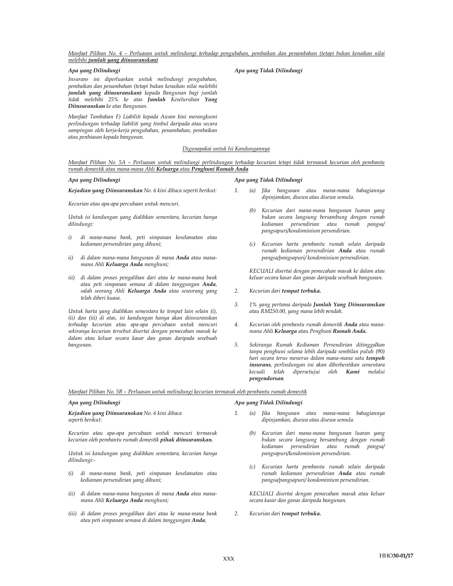Manfaat Pilihan No. 4 – Perluasan untuk melindungi terhadap pengubahan, pembaikan dan penambahan (tetapi bukan kenaikan nilai melebihi jumlah yang diinsuranskan)

Insurans ini diperluaskan untuk melindungi pengubahan, pembaikan dan penambahan (tetapi bukan kenaikan nilai melebihi jumlah yang diinsuranskan) kepada Bangunan bagi jumlah tidak melebihi 25% ke atas Jumlah Keseluruhan Yang Diinsuranskan ke atas Bangunan.

Manfaat Tambahan F) Liabiliti kepada Awam kini merangkumi perlindungan terhadap liabiliti yang timbul daripada atau secara sampingan oleh kerja-kerja pengubahan, penambahan, pembaikan atau penhiasan kepada bangunan.

### Digunapakai untuk Isi Kandungannya

Manfaat Pilihan No. 5A – Perluasan untuk melindungi perlindungan terhadap kecurian tetapi tidak termasuk kecurian oleh pembantu rumah domestik atau mana-mana Ahli Keluarga atau Penghuni Rumah Anda

Kejadian yang Diinsuranskan No. 6 kini dibaca seperti berikut:

Kecurian atau apa-apa percubaan untuk mencuri.

Untuk isi kandungan yang dialihkan sementara, kecurian hanya dilindungi:

- i) di mana-mana bank, peti simpanan keselamatan atau kediaman persendirian yang dihuni;
- ii) di dalam mana-mana bangunan di mana Anda atau manamana Ahli Keluarga Anda menghuni;
- iii) di dalam proses pengalihan dari atau ke mana-mana bank atau peti simpanan semasa di dalam tanggungan Anda, salah seorang Ahli Keluarga Anda atau seseorang yang telah diberi kuasa.

Untuk harta yang dialihkan sementara ke tempat lain selain (i), (ii) dan (iii) di atas, isi kandungan hanya akan diinsuranskan terhadap kecurian atau apa-apa percubaan untuk mencuri sekiranya kecurian tersebut disertai dengan pemecahan masuk ke dalam atau keluar secara kasar dan ganas daripada sesebuah bangunan.

#### Apa yang Dilindungi Apa yang Tidak Dilindungi

- 1. (a) Jika bangunan atau mana-mana bahagiannya dipinjamkan, disewa atau disewa semula.
	- (b) Kecurian dari mana-mana bangunan luaran yang bukan secara langsung bersambung dengan rumah kediaman persendirian atau rumah pangsa/ pangsapuri/kondominium persendirian.
	- (c) Kecurian harta pembantu rumah selain daripada rumah kediaman persendirian Anda atau rumah pangsa/pangsapuri/ kondominium persendirian.

KECUALI disertai dengan pemecahan masuk ke dalam atau keluar secara kasar dan ganas daripada sesebuah bangunan.

- 2. Kecurian dari tempat terbuka.
- 3. 1% yang pertama daripada Jumlah Yang Diinsuranskan atau RM250.00, yang mana lebih rendah.
- 4. Kecurian oleh pembantu rumah domestik Anda atau manamana Ahli Keluarga atau Penghuni Rumah Anda.
- 5. Sekiranya Rumah Kediaman Persendirian ditinggalkan tanpa penghuni selama lebih daripada sembilan puluh (90) hari secara terus menerus dalam mana-mana satu tempoh insurans, perlindungan ini akan diberhentikan sementara kecuali telah dipersetujui oleh Kami melalui pengendorsan.

Manfaat Pilihan No. 5B – Perluasan untuk melindungi kecurian termasuk oleh pembantu rumah domestik

Kejadian yang Diinsuranskan No. 6 kini dibaca seperti berikut:

Kecurian atau apa-apa percubaan untuk mencuri termasuk kecurian oleh pembantu rumah domestik pihak diinsuranskan.

Untuk isi kandungan yang dialihkan sementara, kecurian hanya dilindungi:-

- (i) di mana-mana bank, peti simpanan keselamatan atau kediaman persendirian yang dihuni;
- (ii) di dalam mana-mana bangunan di mana Anda atau manamana Ahli Keluarga Anda menghuni;
- (iii) di dalam proses pengalihan dari atau ke mana-mana bank atau peti simpanan semasa di dalam tanggungan Anda,

### Apa yang Dilindungi Apa yang Tidak Dilindungi

- (a) Jika bangunan atau mana-mana bahagiannya dipinjamkan, disewa atau disewa semula.
	- (b) Kecurian dari mana-mana bangunan luaran yang bukan secara langsung bersambung dengan rumah kediaman persendirian atau rumah pangsa/ pangsapuri/kondominium persendirian.
	- (c) Kecurian harta pembantu rumah selain daripada rumah kediaman persendirian Anda atau rumah pangsa/pangsapuri/ kondominium persendirian.

KECUALI disertai dengan pemecahan masuk atau keluar secara kasar dan ganas daripada bangunan.

2. Kecurian dari tempat terbuka.

1.

#### Apa yang Dilindungi Apa yang Tidak Dilindungi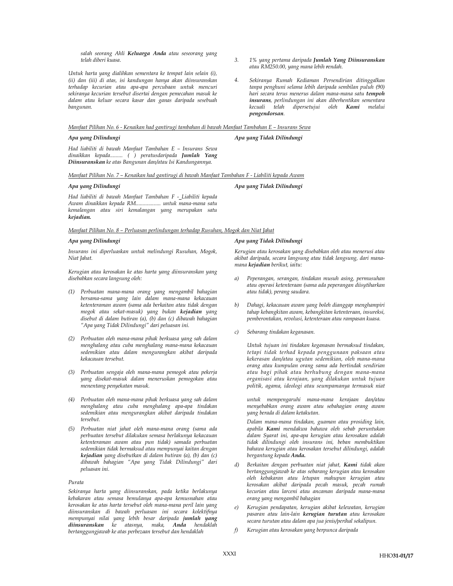salah seorang Ahli Keluarga Anda atau seseorang yang telah diberi kuasa.

Untuk harta yang dialihkan sementara ke tempat lain selain (i), (ii) dan (iii) di atas, isi kandungan hanya akan diinsuranskan terhadap kecurian atau apa-apa percubaan untuk mencuri sekiranya kecurian tersebut disertai dengan pemecahan masuk ke dalam atau keluar secara kasar dan ganas daripada sesebuah bangunan.

- 3. 1% yang pertama daripada Jumlah Yang Diinsuranskan atau RM250.00, yang mana lebih rendah.
- 4. Sekiranya Rumah Kediaman Persendirian ditinggalkan tanpa penghuni selama lebih daripada sembilan puluh (90) hari secara terus menerus dalam mana-mana satu tempoh insurans, perlindungan ini akan diberhentikan sementara kecuali telah dipersetujui oleh Kami melalui pengendorsan.

#### Manfaat Pilihan No. 6 - Kenaikan had gantirugi tambahan di bawah Manfaat Tambahan E – Insurans Sewa

Apa yang Dilindungi Apa yang Tidak Dilindungi

Had liabiliti di bawah Manfaat Tambahan E – Insurans Sewa dinaikkan kepada......... ( ) peratusdaripada Jumlah Yang Diinsuranskan ke atas Bangunan dan/atau Isi Kandungannya.

Manfaat Pilihan No. 7 – Kenaikan had gantirugi di bawah Manfaat Tambahan F - Liabiliti kepada Awam

### Apa yang Dilindungi Apa yang Tidak Dilindungi

Had liabiliti di bawah Manfaat Tambahan F - Liabiliti kepada Awam dinaikkan kepada RM.................. untuk mana-mana satu kemalangan atau siri kemalangan yang merupakan satu kejadian.

### Manfaat Pilihan No. 8 – Perluasan perlindungan terhadap Rusuhan, Mogok dan Niat Jahat

Insurans ini diperluaskan untuk melindungi Rusuhan, Mogok, Niat Jahat.

Kerugian atau kerosakan ke atas harta yang diinsuranskan yang disebabkan secara langsung oleh:

- (1) Perbuatan mana-mana orang yang mengambil bahagian bersama-sama yang lain dalam mana-mana kekacauan ketenteraman awam (sama ada berkaitan atau tidak dengan mogok atau sekat-masuk) yang bukan kejadian yang disebut di dalam butiran (a), (b) dan (c) dibawah bahagian "Apa yang Tidak Dilindungi" dari peluasan ini.
- (2) Perbuatan oleh mana-mana pihak berkuasa yang sah dalam menghalang atau cuba menghalang mana-mana kekacauan sedemikian atau dalam mengurangkan akibat daripada kekacauan tersebut.
- (3) Perbuatan sengaja oleh mana-mana pemogok atau pekerja yang disekat-masuk dalam meneruskan pemogokan atau menentang penyekatan masuk.
- (4) Perbuatan oleh mana-mana pihak berkuasa yang sah dalam menghalang atau cuba menghalang apa-apa tindakan sedemikian atau mengurangkan akibat daripada tindakan tersebut.
- (5) Perbuatan niat jahat oleh mana-mana orang (sama ada perbuatan tersebut dilakukan semasa berlakunya kekacauan ketenteraman awam atau pun tidak) samada perbuatan sedemikian tidak bermaksud atau mempunyai kaitan dengan kejadian yang disebutkan di dalam butiran (a), (b) dan (c) dibawah bahagian "Apa yang Tidak Dilindungi" dari peluasan ini.

#### Purata

Sekiranya harta yang diinsuranskan, pada ketika berlakunya kebakaran atau semasa bemulanya apa-apa kemusnahan atau kerosakan ke atas harta tersebut oleh mana-mana peril lain yang diinsuranskan di bawah perluasan ini secara kolektifnya mempunyai nilai yang lebih besar daripada jumlah yang diinsuranskan ke atasnya, maka, Anda hendaklah bertanggungjawab ke atas perbezaan tersebut dan hendaklah

## Apa yang Dilindungi Apa yang Tidak Dilindungi

Kerugian atau kerosakan yang disebabkan oleh atau menerusi atau akibat daripada, secara langsung atau tidak langsung, dari manamana kejadian berikut, iaitu:

- a) Peperangan, serangan, tindakan musuh asing, permusuhan atau operasi ketenteraan (sama ada peperangan diisytiharkan atau tidak), perang saudara.
- b) Dahagi, kekacauan awam yang boleh dianggap menghampiri tahap kebangkitan awam, kebangkitan ketenteraan, insureksi, pemberontakan, revolusi, ketenteraan atau rampasan kuasa.
- c) Sebarang tindakan keganasan.

Untuk tujuan ini tindakan keganasan bermaksud tindakan, tetapi tidak terhad kepada penggunaan paksaan atau kekerasan dan/atau ugutan sedemikian, oleh mana-mana orang atau kumpulan orang sama ada bertindak sendirian atau bagi pihak atau berhubung dengan mana-mana organisasi atau kerajaan, yang dilakukan untuk tujuan politik, agama, ideologi atau seumpamanya termasuk niat

 untuk mempengaruhi mana-mana kerajaan dan/atau menyebabkan orang awam atau sebahagian orang awam yang berada di dalam ketakutan.

Dalam mana-mana tindakan, guaman atau prosiding lain, apabila Kami mendakwa bahawa oleh sebab peruntukan dalam Syarat ini, apa-apa kerugian atau kerosakan adalah tidak dilindungi oleh insurans ini, beban membuktikan bahawa kerugian atau kerosakan tersebut dilindungi, adalah bergantung kepada Anda.

- Berkaitan dengan perbuatan niat jahat, Kami tidak akan bertanggungjawab ke atas sebarang kerugian atau kerosakan oleh kebakaran atau letupan mahupun kerugian atau kerosakan akibat daripada pecah masuk, pecah rumah kecurian atau larceni atau ancaman daripada mana-mana orang yang mengambil bahagian
- e) Kerugian pendapatan, kerugian akibat kelewatan, kerugian pasaran atau lain-lain kerugian turutan atau kerosakan secara turutan atau dalam apa jua jenis/perihal sekalipun.
- f) Kerugian atau kerosakan yang berpunca daripada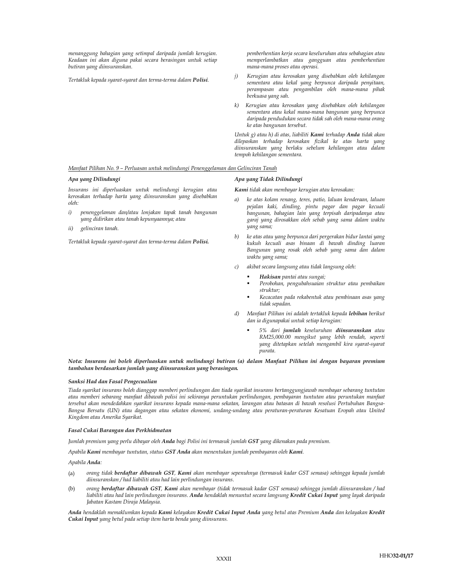menanggung bahagian yang setimpal daripada jumlah kerugian. Keadaan ini akan diguna pakai secara berasingan untuk setiap butiran yang diinsuranskan.

Tertakluk kepada syarat-syarat dan terma-terma dalam Polisi.

pemberhentian kerja secara keseluruhan atau sebahagian atau memperlambatkan atau gangguan atau pemberhentian mana-mana proses atau operasi.

- j) Kerugian atau kerosakan yang disebabkan oleh kehilangan sementara atau kekal yang berpunca daripada penyitaan, perampasan atau pengambilan oleh mana-mana pihak berkuasa yang sah.
- k) Kerugian atau kerosakan yang disebabkan oleh kehilangan sementara atau kekal mana-mana bangunan yang berpunca daripada pendudukan secara tidak sah oleh mana-mana orang ke atas bangunan tersebut.

Untuk g) atau h) di atas, liabiliti Kami terhadap Anda tidak akan dilepaskan terhadap kerosakan fizikal ke atas harta yang diinsuranskan yang berlaku sebelum kehilangan atau dalam tempoh kehilangan sementara.

#### Manfaat Pilihan No. 9 – Perluasan untuk melindungi Penenggelaman dan Gelinciran Tanah

Insurans ini diperluaskan untuk melindungi kerugian atau kerosakan terhadap harta yang diinsuranskan yang disebabkan oleh:

- i) penenggelaman dan/atau lonjakan tapak tanah bangunan yang didirikan atau tanah kepunyaannya; atau
- ii) gelinciran tanah.

Tertakluk kepada syarat-syarat dan terma-terma dalam Polisi.

#### Apa yang Dilindungi Apa yang Tidak Dilindungi

Kami tidak akan membayar kerugian atau kerosakan:

- a) ke atas kolam renang, teres, patio, laluan kenderaan, laluan pejalan kaki, dinding, pintu pagar dan pagar kecuali bangunan, bahagian lain yang terpisah daripadanya atau garaj yang dirosakkan oleh sebab yang sama dalam waktu yang sama;
- b) ke atas atau yang berpunca dari pergerakan bidur lantai yang kukuh kecuali asas binaan di bawah dinding luaran Bangunan yang rosak oleh sebab yang sama dan dalam waktu yang sama;
- c) akibat secara langsung atau tidak langsung oleh:
	- Hakisan pantai atau sungai;
	- Perobohan, pengubahsuaian struktur atau pembaikan struktur;
	- Kecacatan pada rekabentuk atau pembinaan asas yang tidak sepadan.
- d) Manfaat Pilihan ini adalah tertakluk kepada lebihan berikut dan ia digunapakai untuk setiap kerugian:
	- 5% dari jumlah keseluruhan diinsuranskan atau RM25,000.00 mengikut yang lebih rendah, seperti yang ditetapkan setelah mengambil kira syarat-syarat purata.

#### Nota: Insurans ini boleh diperluaskan untuk melindungi butiran (a) dalam Manfaat Pilihan ini dengan bayaran premium tambahan berdasarkan jumlah yang diinsuranskan yang berasingan.

#### Sanksi Had dan Fasal Pengecualian

Tiada syarikat insurans boleh dianggap memberi perlindungan dan tiada syarikat insurans bertanggungjawab membayar sebarang tuntutan atau memberi sebarang manfaat dibawah polisi ini sekiranya peruntukan perlindungan, pembayaran tuntutan atau peruntukan manfaat tersebut akan mendedahkan syarikat insurans kepada mana-mana sekatan, larangan atau batasan di bawah resolusi Pertubuhan Bangsa-Bangsa Bersatu (UN) atau dagangan atau sekatan ekonomi, undang-undang atau peraturan-peraturan Kesatuan Eropah atau United Kingdom atau Amerika Syarikat.

#### Fasal Cukai Barangan dan Perkhidmatan

Jumlah premium yang perlu dibayar oleh Anda bagi Polisi ini termasuk jumlah GST yang dikenakan pada premium.

Apabila Kami membayar tuntutan, status GST Anda akan menentukan jumlah pembayaran oleh Kami.

Apabila Anda:

- (a) orang tidak berdaftar dibawah GST, Kami akan membayar sepenuhnya (termasuk kadar GST semasa) sehingga kepada jumlah diinsuranskan / had liabiliti atau had lain perlindungan insurans.
- (b) orang berdaftar dibawah GST, Kami akan membayar (tidak termasuk kadar GST semasa) sehingga jumlah diinsuranskan / had liabiliti atau had lain perlindungan insurans. Anda hendaklah menuntut secara langsung Kredit Cukai Input yang layak daripada Jabatan Kastam Diraja Malaysia.

Anda hendaklah memaklumkan kepada Kami kelayakan Kredit Cukai Input Anda yang betul atas Premium Anda dan kelayakan Kredit Cukai Input yang betul pada setiap item harta benda yang diinsurans.